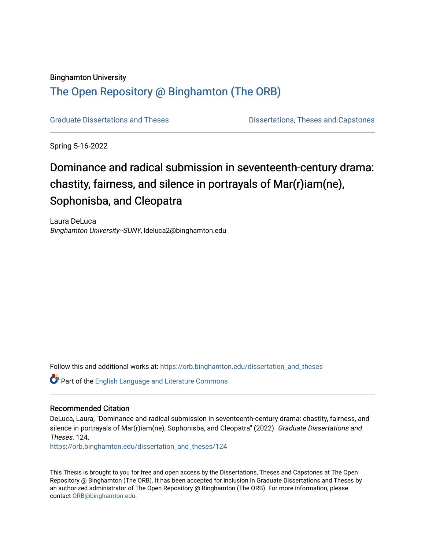#### Binghamton University

## [The Open Repository @ Binghamton \(The ORB\)](https://orb.binghamton.edu/)

[Graduate Dissertations and Theses](https://orb.binghamton.edu/dissertation_and_theses) **Districts** Dissertations, Theses and Capstones

Spring 5-16-2022

# Dominance and radical submission in seventeenth-century drama: chastity, fairness, and silence in portrayals of Mar(r)iam(ne), Sophonisba, and Cleopatra

Laura DeLuca Binghamton University--SUNY, ldeluca2@binghamton.edu

Follow this and additional works at: [https://orb.binghamton.edu/dissertation\\_and\\_theses](https://orb.binghamton.edu/dissertation_and_theses?utm_source=orb.binghamton.edu%2Fdissertation_and_theses%2F124&utm_medium=PDF&utm_campaign=PDFCoverPages)

Part of the [English Language and Literature Commons](https://network.bepress.com/hgg/discipline/455?utm_source=orb.binghamton.edu%2Fdissertation_and_theses%2F124&utm_medium=PDF&utm_campaign=PDFCoverPages)

#### Recommended Citation

DeLuca, Laura, "Dominance and radical submission in seventeenth-century drama: chastity, fairness, and silence in portrayals of Mar(r)iam(ne), Sophonisba, and Cleopatra" (2022). Graduate Dissertations and Theses. 124.

[https://orb.binghamton.edu/dissertation\\_and\\_theses/124](https://orb.binghamton.edu/dissertation_and_theses/124?utm_source=orb.binghamton.edu%2Fdissertation_and_theses%2F124&utm_medium=PDF&utm_campaign=PDFCoverPages)

This Thesis is brought to you for free and open access by the Dissertations, Theses and Capstones at The Open Repository @ Binghamton (The ORB). It has been accepted for inclusion in Graduate Dissertations and Theses by an authorized administrator of The Open Repository @ Binghamton (The ORB). For more information, please contact [ORB@binghamton.edu](mailto:ORB@binghamton.edu).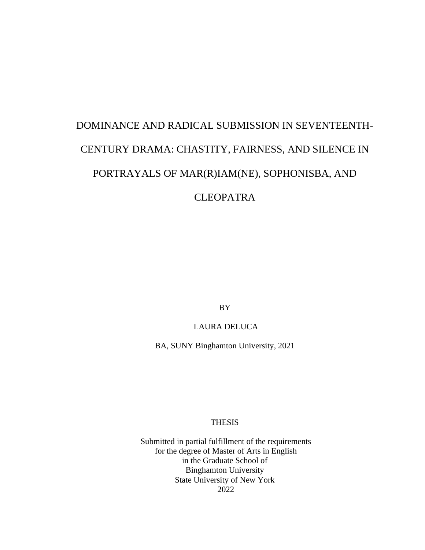# DOMINANCE AND RADICAL SUBMISSION IN SEVENTEENTH-CENTURY DRAMA: CHASTITY, FAIRNESS, AND SILENCE IN PORTRAYALS OF MAR(R)IAM(NE), SOPHONISBA, AND CLEOPATRA

BY

#### LAURA DELUCA

BA, SUNY Binghamton University, 2021

#### THESIS

Submitted in partial fulfillment of the requirements for the degree of Master of Arts in English in the Graduate School of Binghamton University State University of New York 2022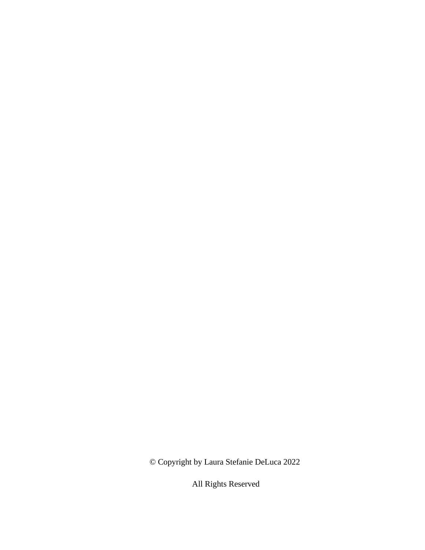© Copyright by Laura Stefanie DeLuca 2022

All Rights Reserved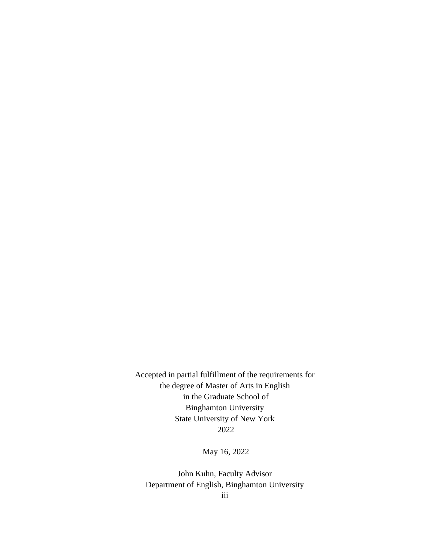Accepted in partial fulfillment of the requirements for the degree of Master of Arts in English in the Graduate School of Binghamton University State University of New York 2022

May 16, 2022

iii John Kuhn, Faculty Advisor Department of English, Binghamton University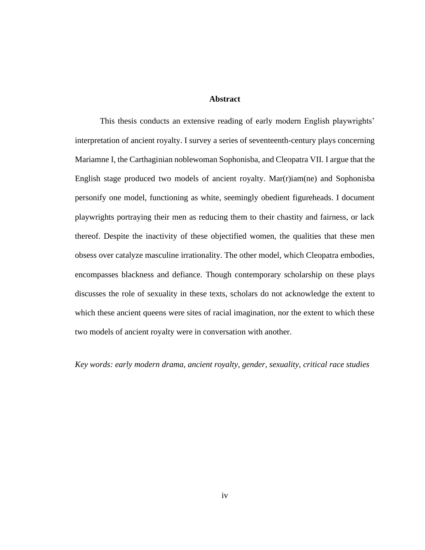#### **Abstract**

This thesis conducts an extensive reading of early modern English playwrights' interpretation of ancient royalty. I survey a series of seventeenth-century plays concerning Mariamne I, the Carthaginian noblewoman Sophonisba, and Cleopatra VII. I argue that the English stage produced two models of ancient royalty. Mar(r)iam(ne) and Sophonisba personify one model, functioning as white, seemingly obedient figureheads. I document playwrights portraying their men as reducing them to their chastity and fairness, or lack thereof. Despite the inactivity of these objectified women, the qualities that these men obsess over catalyze masculine irrationality. The other model, which Cleopatra embodies, encompasses blackness and defiance. Though contemporary scholarship on these plays discusses the role of sexuality in these texts, scholars do not acknowledge the extent to which these ancient queens were sites of racial imagination, nor the extent to which these two models of ancient royalty were in conversation with another.

*Key words: early modern drama, ancient royalty, gender, sexuality, critical race studies*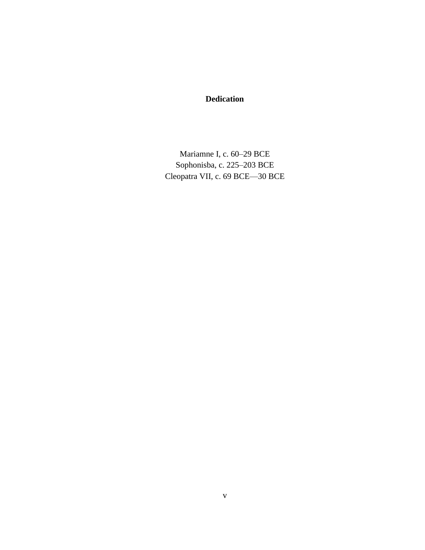### **Dedication**

Mariamne I, c. 60–29 BCE Sophonisba, c. 225–203 BCE Cleopatra VII, c. 69 BCE—30 BCE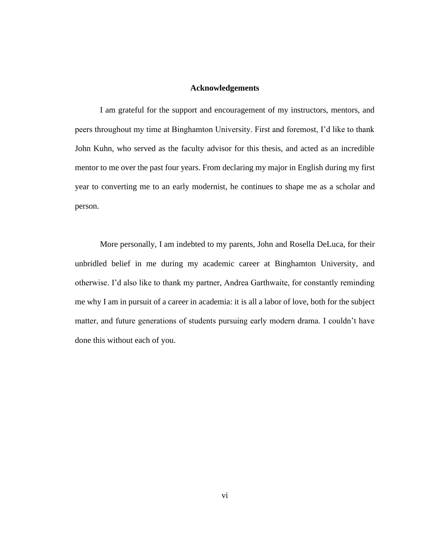#### **Acknowledgements**

I am grateful for the support and encouragement of my instructors, mentors, and peers throughout my time at Binghamton University. First and foremost, I'd like to thank John Kuhn, who served as the faculty advisor for this thesis, and acted as an incredible mentor to me over the past four years. From declaring my major in English during my first year to converting me to an early modernist, he continues to shape me as a scholar and person.

More personally, I am indebted to my parents, John and Rosella DeLuca, for their unbridled belief in me during my academic career at Binghamton University, and otherwise. I'd also like to thank my partner, Andrea Garthwaite, for constantly reminding me why I am in pursuit of a career in academia: it is all a labor of love, both for the subject matter, and future generations of students pursuing early modern drama. I couldn't have done this without each of you.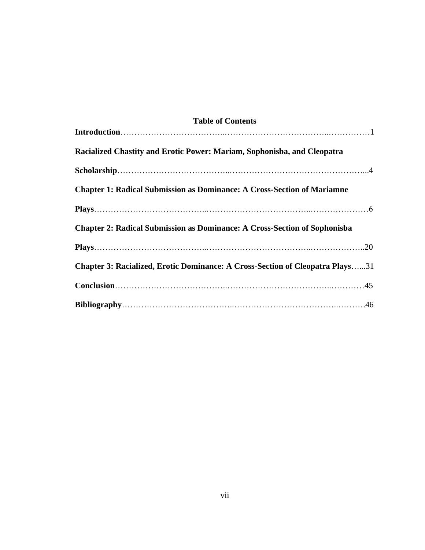| <b>Table of Contents</b>                                                             |
|--------------------------------------------------------------------------------------|
|                                                                                      |
| Racialized Chastity and Erotic Power: Mariam, Sophonisba, and Cleopatra              |
|                                                                                      |
| <b>Chapter 1: Radical Submission as Dominance: A Cross-Section of Mariamne</b>       |
|                                                                                      |
| <b>Chapter 2: Radical Submission as Dominance: A Cross-Section of Sophonisba</b>     |
|                                                                                      |
| <b>Chapter 3: Racialized, Erotic Dominance: A Cross-Section of Cleopatra Plays31</b> |
|                                                                                      |
|                                                                                      |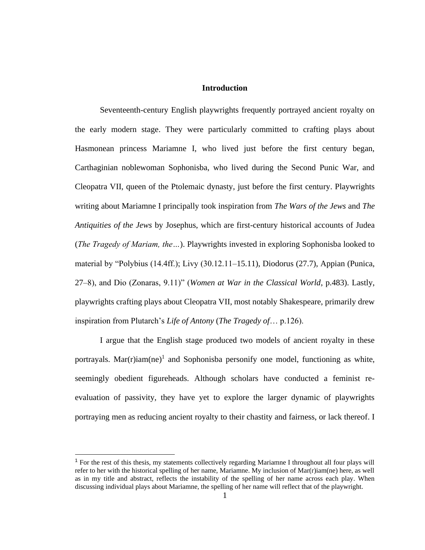#### **Introduction**

Seventeenth-century English playwrights frequently portrayed ancient royalty on the early modern stage. They were particularly committed to crafting plays about Hasmonean princess Mariamne I, who lived just before the first century began, Carthaginian noblewoman Sophonisba, who lived during the Second Punic War, and Cleopatra VII, queen of the Ptolemaic dynasty, just before the first century. Playwrights writing about Mariamne I principally took inspiration from *The Wars of the Jews* and *The Antiquities of the Jews* by Josephus, which are first-century historical accounts of Judea (*The Tragedy of Mariam, the…*). Playwrights invested in exploring Sophonisba looked to material by "Polybius (14.4ff.); Livy (30.12.11–15.11), Diodorus (27.7), Appian (Punica, 27–8), and Dio (Zonaras, 9.11)" (*Women at War in the Classical World*, p.483). Lastly, playwrights crafting plays about Cleopatra VII, most notably Shakespeare, primarily drew inspiration from Plutarch's *Life of Antony* (*The Tragedy of*… p.126).

I argue that the English stage produced two models of ancient royalty in these portrayals. Mar $(r)$ iam $(ne)$ <sup>1</sup> and Sophonisba personify one model, functioning as white, seemingly obedient figureheads. Although scholars have conducted a feminist reevaluation of passivity, they have yet to explore the larger dynamic of playwrights portraying men as reducing ancient royalty to their chastity and fairness, or lack thereof. I

<sup>&</sup>lt;sup>1</sup> For the rest of this thesis, my statements collectively regarding Mariamne I throughout all four plays will refer to her with the historical spelling of her name, Mariamne. My inclusion of Mar(r)iam(ne) here, as well as in my title and abstract, reflects the instability of the spelling of her name across each play. When discussing individual plays about Mariamne, the spelling of her name will reflect that of the playwright.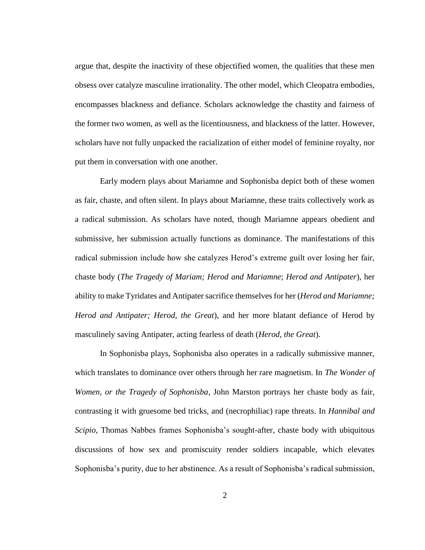argue that, despite the inactivity of these objectified women, the qualities that these men obsess over catalyze masculine irrationality. The other model, which Cleopatra embodies, encompasses blackness and defiance. Scholars acknowledge the chastity and fairness of the former two women, as well as the licentiousness, and blackness of the latter. However, scholars have not fully unpacked the racialization of either model of feminine royalty, nor put them in conversation with one another.

Early modern plays about Mariamne and Sophonisba depict both of these women as fair, chaste, and often silent. In plays about Mariamne, these traits collectively work as a radical submission. As scholars have noted, though Mariamne appears obedient and submissive, her submission actually functions as dominance. The manifestations of this radical submission include how she catalyzes Herod's extreme guilt over losing her fair, chaste body (*The Tragedy of Mariam; Herod and Mariamne*; *Herod and Antipater*), her ability to make Tyridates and Antipater sacrifice themselves for her (*Herod and Mariamne; Herod and Antipater; Herod, the Great*), and her more blatant defiance of Herod by masculinely saving Antipater, acting fearless of death (*Herod, the Great*).

In Sophonisba plays, Sophonisba also operates in a radically submissive manner, which translates to dominance over others through her rare magnetism. In *The Wonder of Women, or the Tragedy of Sophonisba*, John Marston portrays her chaste body as fair, contrasting it with gruesome bed tricks, and (necrophiliac) rape threats. In *Hannibal and Scipio*, Thomas Nabbes frames Sophonisba's sought-after, chaste body with ubiquitous discussions of how sex and promiscuity render soldiers incapable, which elevates Sophonisba's purity, due to her abstinence. As a result of Sophonisba's radical submission,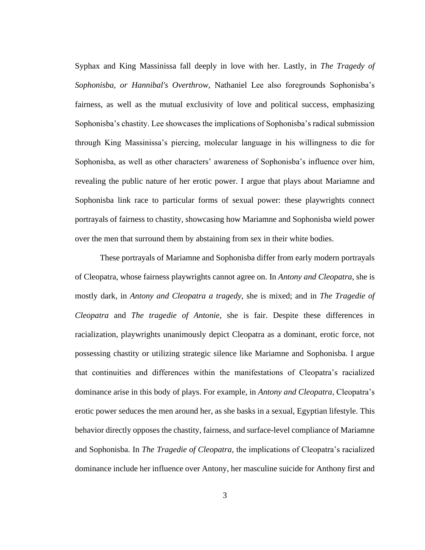Syphax and King Massinissa fall deeply in love with her. Lastly, in *The Tragedy of Sophonisba, or Hannibal's Overthrow*, Nathaniel Lee also foregrounds Sophonisba's fairness, as well as the mutual exclusivity of love and political success, emphasizing Sophonisba's chastity. Lee showcases the implications of Sophonisba's radical submission through King Massinissa's piercing, molecular language in his willingness to die for Sophonisba, as well as other characters' awareness of Sophonisba's influence over him, revealing the public nature of her erotic power. I argue that plays about Mariamne and Sophonisba link race to particular forms of sexual power: these playwrights connect portrayals of fairness to chastity, showcasing how Mariamne and Sophonisba wield power over the men that surround them by abstaining from sex in their white bodies.

These portrayals of Mariamne and Sophonisba differ from early modern portrayals of Cleopatra, whose fairness playwrights cannot agree on. In *Antony and Cleopatra*, she is mostly dark, in *Antony and Cleopatra a tragedy*, she is mixed; and in *The Tragedie of Cleopatra* and *The tragedie of Antonie*, she is fair. Despite these differences in racialization, playwrights unanimously depict Cleopatra as a dominant, erotic force, not possessing chastity or utilizing strategic silence like Mariamne and Sophonisba. I argue that continuities and differences within the manifestations of Cleopatra's racialized dominance arise in this body of plays. For example, in *Antony and Cleopatra*, Cleopatra's erotic power seduces the men around her, as she basks in a sexual, Egyptian lifestyle. This behavior directly opposes the chastity, fairness, and surface-level compliance of Mariamne and Sophonisba. In *The Tragedie of Cleopatra,* the implications of Cleopatra's racialized dominance include her influence over Antony, her masculine suicide for Anthony first and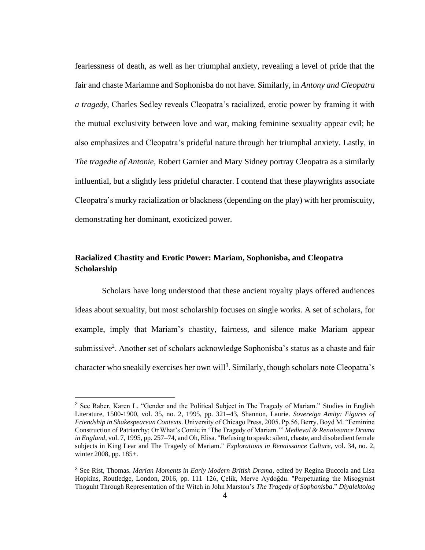fearlessness of death, as well as her triumphal anxiety, revealing a level of pride that the fair and chaste Mariamne and Sophonisba do not have. Similarly, in *Antony and Cleopatra a tragedy*, Charles Sedley reveals Cleopatra's racialized, erotic power by framing it with the mutual exclusivity between love and war, making feminine sexuality appear evil; he also emphasizes and Cleopatra's prideful nature through her triumphal anxiety. Lastly, in *The tragedie of Antonie*, Robert Garnier and Mary Sidney portray Cleopatra as a similarly influential, but a slightly less prideful character. I contend that these playwrights associate Cleopatra's murky racialization or blackness (depending on the play) with her promiscuity, demonstrating her dominant, exoticized power.

#### **Racialized Chastity and Erotic Power: Mariam, Sophonisba, and Cleopatra Scholarship**

Scholars have long understood that these ancient royalty plays offered audiences ideas about sexuality, but most scholarship focuses on single works. A set of scholars, for example, imply that Mariam's chastity, fairness, and silence make Mariam appear submissive<sup>2</sup>. Another set of scholars acknowledge Sophonisba's status as a chaste and fair character who sneakily exercises her own will<sup>3</sup>. Similarly, though scholars note Cleopatra's

<sup>&</sup>lt;sup>2</sup> See Raber, Karen L. "Gender and the Political Subject in The Tragedy of Mariam." Studies in English Literature, 1500-1900, vol. 35, no. 2, 1995, pp. 321–43, Shannon, Laurie. *Sovereign Amity: Figures of Friendship in Shakespearean Contexts*. University of Chicago Press, 2005. Pp.56, Berry, Boyd M. "Feminine Construction of Patriarchy; Or What's Comic in 'The Tragedy of Mariam.'" *Medieval & Renaissance Drama in England*, vol. 7, 1995, pp. 257–74, and Oh, Elisa. "Refusing to speak: silent, chaste, and disobedient female subjects in King Lear and The Tragedy of Mariam." *Explorations in Renaissance Culture*, vol. 34, no. 2, winter 2008, pp. 185+.

<sup>3</sup> See Rist, Thomas. *Marian Moments in Early Modern British Drama*, edited by Regina Buccola and Lisa Hopkins, Routledge, London, 2016, pp. 111–126, Çelik, Merve Aydoğdu. "Perpetuating the Misogynist Thoguht Through Representation of the Witch in John Marston's *The Tragedy of Sophonisba*." *Diyalektolog*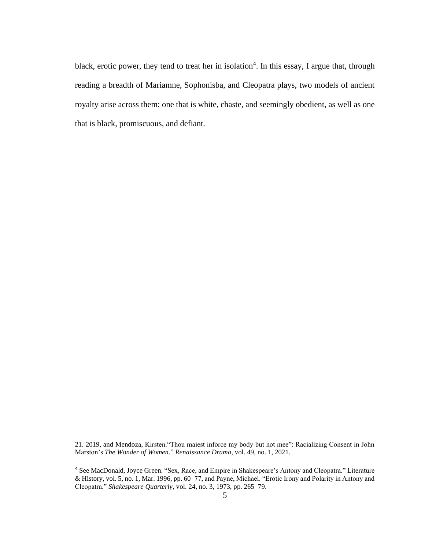black, erotic power, they tend to treat her in isolation<sup>4</sup>. In this essay, I argue that, through reading a breadth of Mariamne, Sophonisba, and Cleopatra plays, two models of ancient royalty arise across them: one that is white, chaste, and seemingly obedient, as well as one that is black, promiscuous, and defiant.

<sup>21. 2019,</sup> and Mendoza, Kirsten."Thou maiest inforce my body but not mee": Racializing Consent in John Marston's *The Wonder of Women*." *[Renaissance Drama](https://www.journals.uchicago.edu/toc/rd/current)*, vol. 49, no. 1, 2021.

<sup>4</sup> See MacDonald, Joyce Green. "Sex, Race, and Empire in Shakespeare's Antony and Cleopatra." Literature & History, vol. 5, no. 1, Mar. 1996, pp. 60–77, and Payne, Michael. "Erotic Irony and Polarity in Antony and Cleopatra." *Shakespeare Quarterly*, vol. 24, no. 3, 1973, pp. 265–79.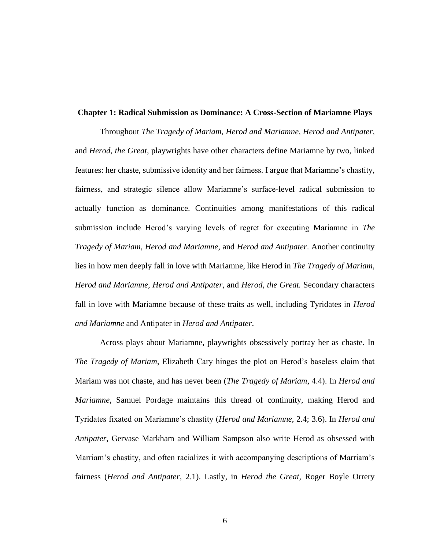#### **Chapter 1: Radical Submission as Dominance: A Cross-Section of Mariamne Plays**

Throughout *The Tragedy of Mariam*, *Herod and Mariamne*, *Herod and Antipater*, and *Herod, the Great*, playwrights have other characters define Mariamne by two, linked features: her chaste, submissive identity and her fairness. I argue that Mariamne's chastity, fairness, and strategic silence allow Mariamne's surface-level radical submission to actually function as dominance. Continuities among manifestations of this radical submission include Herod's varying levels of regret for executing Mariamne in *The Tragedy of Mariam, Herod and Mariamne*, and *Herod and Antipater*. Another continuity lies in how men deeply fall in love with Mariamne, like Herod in *The Tragedy of Mariam, Herod and Mariamne*, *Herod and Antipater*, and *Herod, the Great.* Secondary characters fall in love with Mariamne because of these traits as well, including Tyridates in *Herod and Mariamne* and Antipater in *Herod and Antipater*.

Across plays about Mariamne, playwrights obsessively portray her as chaste. In *The Tragedy of Mariam*, Elizabeth Cary hinges the plot on Herod's baseless claim that Mariam was not chaste, and has never been (*The Tragedy of Mariam*, 4.4). In *Herod and Mariamne*, Samuel Pordage maintains this thread of continuity, making Herod and Tyridates fixated on Mariamne's chastity (*Herod and Mariamne*, 2.4; 3.6). In *Herod and Antipater*, Gervase Markham and William Sampson also write Herod as obsessed with Marriam's chastity, and often racializes it with accompanying descriptions of Marriam's fairness (*Herod and Antipater*, 2.1). Lastly, in *Herod the Great,* Roger Boyle Orrery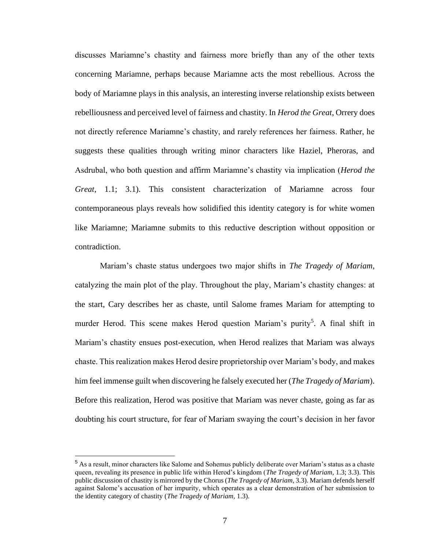discusses Mariamne's chastity and fairness more briefly than any of the other texts concerning Mariamne, perhaps because Mariamne acts the most rebellious. Across the body of Mariamne plays in this analysis, an interesting inverse relationship exists between rebelliousness and perceived level of fairness and chastity. In *Herod the Great*, Orrery does not directly reference Mariamne's chastity, and rarely references her fairness. Rather, he suggests these qualities through writing minor characters like Haziel, Pheroras, and Asdrubal, who both question and affirm Mariamne's chastity via implication (*Herod the Great*, 1.1; 3.1). This consistent characterization of Mariamne across four contemporaneous plays reveals how solidified this identity category is for white women like Mariamne; Mariamne submits to this reductive description without opposition or contradiction.

Mariam's chaste status undergoes two major shifts in *The Tragedy of Mariam*, catalyzing the main plot of the play. Throughout the play, Mariam's chastity changes: at the start, Cary describes her as chaste, until Salome frames Mariam for attempting to murder Herod. This scene makes Herod question Mariam's purity<sup>5</sup>. A final shift in Mariam's chastity ensues post-execution, when Herod realizes that Mariam was always chaste. This realization makes Herod desire proprietorship over Mariam's body, and makes him feel immense guilt when discovering he falsely executed her (*The Tragedy of Mariam*). Before this realization, Herod was positive that Mariam was never chaste, going as far as doubting his court structure, for fear of Mariam swaying the court's decision in her favor

<sup>&</sup>lt;sup>5</sup> As a result, minor characters like Salome and Sohemus publicly deliberate over Mariam's status as a chaste queen, revealing its presence in public life within Herod's kingdom (*The Tragedy of Mariam*, 1.3; 3.3). This public discussion of chastity is mirrored by the Chorus (*The Tragedy of Mariam*, 3.3). Mariam defends herself against Salome's accusation of her impurity, which operates as a clear demonstration of her submission to the identity category of chastity (*The Tragedy of Mariam*, 1.3).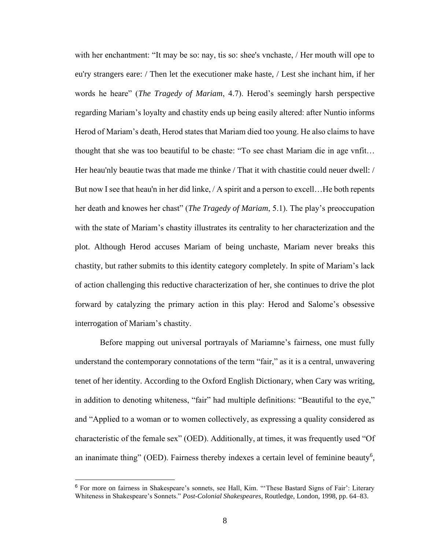with her enchantment: "It may be so: nay, tis so: shee's vnchaste, / Her mouth will ope to eu'ry strangers eare: / Then let the executioner make haste, / Lest she inchant him, if her words he heare" (*The Tragedy of Mariam*, 4.7). Herod's seemingly harsh perspective regarding Mariam's loyalty and chastity ends up being easily altered: after Nuntio informs Herod of Mariam's death, Herod states that Mariam died too young. He also claims to have thought that she was too beautiful to be chaste: "To see chast Mariam die in age vnfit… Her heau'nly beautie twas that made me thinke / That it with chastitie could neuer dwell: / But now I see that heau'n in her did linke, / A spirit and a person to excell…He both repents her death and knowes her chast" (*The Tragedy of Mariam*, 5.1). The play's preoccupation with the state of Mariam's chastity illustrates its centrality to her characterization and the plot. Although Herod accuses Mariam of being unchaste, Mariam never breaks this chastity, but rather submits to this identity category completely. In spite of Mariam's lack of action challenging this reductive characterization of her, she continues to drive the plot forward by catalyzing the primary action in this play: Herod and Salome's obsessive interrogation of Mariam's chastity.

Before mapping out universal portrayals of Mariamne's fairness, one must fully understand the contemporary connotations of the term "fair," as it is a central, unwavering tenet of her identity. According to the Oxford English Dictionary, when Cary was writing, in addition to denoting whiteness, "fair" had multiple definitions: "Beautiful to the eye," and "Applied to a woman or to women collectively, as expressing a quality considered as characteristic of the female sex" (OED). Additionally, at times, it was frequently used "Of an inanimate thing" (OED). Fairness thereby indexes a certain level of feminine beauty<sup>6</sup>,

<sup>6</sup> For more on fairness in Shakespeare's sonnets, see Hall, Kim. "'These Bastard Signs of Fair': Literary Whiteness in Shakespeare's Sonnets." *Post-Colonial Shakespeares*, Routledge, London, 1998, pp. 64–83.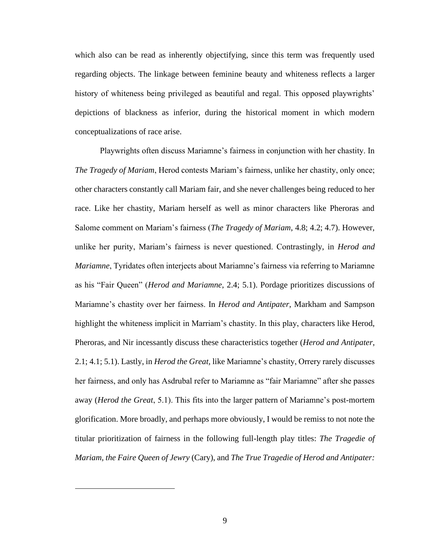which also can be read as inherently objectifying, since this term was frequently used regarding objects. The linkage between feminine beauty and whiteness reflects a larger history of whiteness being privileged as beautiful and regal. This opposed playwrights' depictions of blackness as inferior, during the historical moment in which modern conceptualizations of race arise.

Playwrights often discuss Mariamne's fairness in conjunction with her chastity. In *The Tragedy of Mariam*, Herod contests Mariam's fairness, unlike her chastity, only once; other characters constantly call Mariam fair, and she never challenges being reduced to her race. Like her chastity, Mariam herself as well as minor characters like Pheroras and Salome comment on Mariam's fairness (*The Tragedy of Mariam*, 4.8; 4.2; 4.7). However, unlike her purity, Mariam's fairness is never questioned. Contrastingly, in *Herod and Mariamne*, Tyridates often interjects about Mariamne's fairness via referring to Mariamne as his "Fair Queen" (*Herod and Mariamne*, 2.4; 5.1). Pordage prioritizes discussions of Mariamne's chastity over her fairness. In *Herod and Antipater*, Markham and Sampson highlight the whiteness implicit in Marriam's chastity. In this play, characters like Herod, Pheroras, and Nir incessantly discuss these characteristics together (*Herod and Antipater*, 2.1; 4.1; 5.1). Lastly, in *Herod the Great,* like Mariamne's chastity, Orrery rarely discusses her fairness, and only has Asdrubal refer to Mariamne as "fair Mariamne" after she passes away (*Herod the Great*, 5.1). This fits into the larger pattern of Mariamne's post-mortem glorification. More broadly, and perhaps more obviously, I would be remiss to not note the titular prioritization of fairness in the following full-length play titles: *The Tragedie of Mariam, the Faire Queen of Jewry* (Cary), and *The True Tragedie of Herod and Antipater:*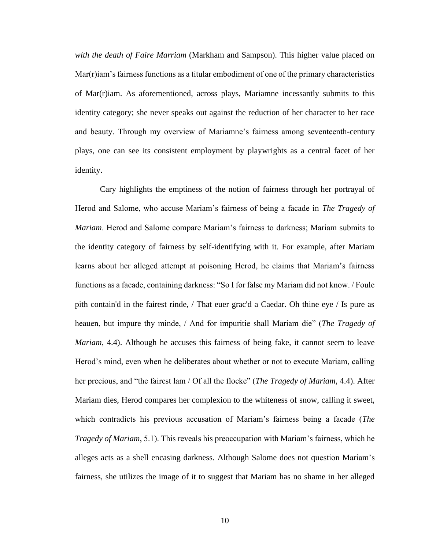*with the death of Faire Marriam* (Markham and Sampson). This higher value placed on  $Mar(r)$ iam's fairness functions as a titular embodiment of one of the primary characteristics of Mar(r)iam. As aforementioned, across plays, Mariamne incessantly submits to this identity category; she never speaks out against the reduction of her character to her race and beauty. Through my overview of Mariamne's fairness among seventeenth-century plays, one can see its consistent employment by playwrights as a central facet of her identity.

Cary highlights the emptiness of the notion of fairness through her portrayal of Herod and Salome, who accuse Mariam's fairness of being a facade in *The Tragedy of Mariam*. Herod and Salome compare Mariam's fairness to darkness; Mariam submits to the identity category of fairness by self-identifying with it. For example, after Mariam learns about her alleged attempt at poisoning Herod, he claims that Mariam's fairness functions as a facade, containing darkness: "So I for false my Mariam did not know. / Foule pith contain'd in the fairest rinde, / That euer grac'd a Caedar. Oh thine eye / Is pure as heauen, but impure thy minde, / And for impuritie shall Mariam die" (*The Tragedy of Mariam*, 4.4). Although he accuses this fairness of being fake, it cannot seem to leave Herod's mind, even when he deliberates about whether or not to execute Mariam, calling her precious, and "the fairest lam / Of all the flocke" (*The Tragedy of Mariam*, 4.4). After Mariam dies, Herod compares her complexion to the whiteness of snow, calling it sweet, which contradicts his previous accusation of Mariam's fairness being a facade (*The Tragedy of Mariam*, 5.1). This reveals his preoccupation with Mariam's fairness, which he alleges acts as a shell encasing darkness. Although Salome does not question Mariam's fairness, she utilizes the image of it to suggest that Mariam has no shame in her alleged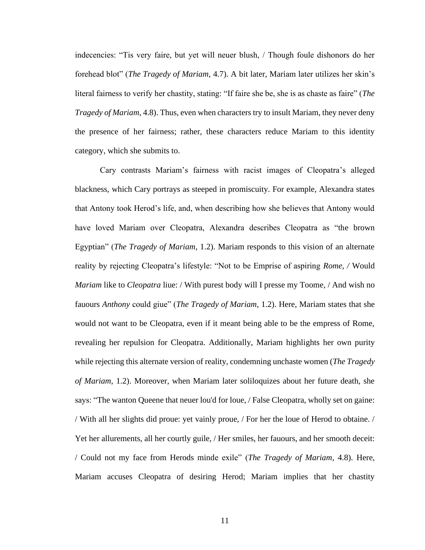indecencies: "Tis very faire, but yet will neuer blush, / Though foule dishonors do her forehead blot" (*The Tragedy of Mariam*, 4.7). A bit later, Mariam later utilizes her skin's literal fairness to verify her chastity, stating: "If faire she be, she is as chaste as faire" (*The Tragedy of Mariam*, 4.8). Thus, even when characters try to insult Mariam, they never deny the presence of her fairness; rather, these characters reduce Mariam to this identity category, which she submits to.

Cary contrasts Mariam's fairness with racist images of Cleopatra's alleged blackness, which Cary portrays as steeped in promiscuity. For example, Alexandra states that Antony took Herod's life, and, when describing how she believes that Antony would have loved Mariam over Cleopatra, Alexandra describes Cleopatra as "the brown Egyptian" (*The Tragedy of Mariam*, 1.2). Mariam responds to this vision of an alternate reality by rejecting Cleopatra's lifestyle: "Not to be Emprise of aspiring *Rome, /* Would *Mariam* like to *Cleopatra* liue: / With purest body will I presse my Toome, / And wish no fauours *Anthony* could giue" (*The Tragedy of Mariam*, 1.2). Here, Mariam states that she would not want to be Cleopatra, even if it meant being able to be the empress of Rome, revealing her repulsion for Cleopatra. Additionally, Mariam highlights her own purity while rejecting this alternate version of reality, condemning unchaste women (*The Tragedy of Mariam*, 1.2). Moreover, when Mariam later soliloquizes about her future death, she says: "The wanton Queene that neuer lou'd for loue, / False Cleopatra, wholly set on gaine: / With all her slights did proue: yet vainly proue, / For her the loue of Herod to obtaine. / Yet her allurements, all her courtly guile, / Her smiles, her fauours, and her smooth deceit: / Could not my face from Herods minde exile" (*The Tragedy of Mariam*, 4.8). Here, Mariam accuses Cleopatra of desiring Herod; Mariam implies that her chastity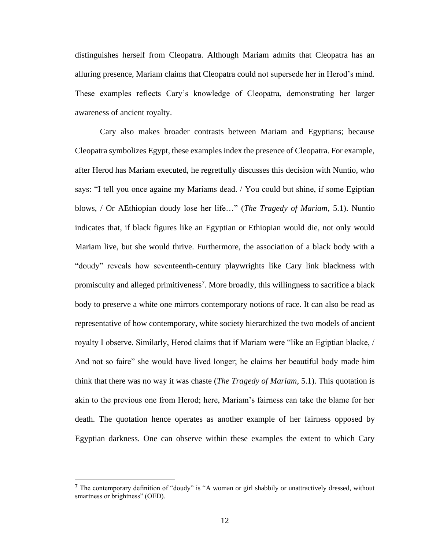distinguishes herself from Cleopatra. Although Mariam admits that Cleopatra has an alluring presence, Mariam claims that Cleopatra could not supersede her in Herod's mind. These examples reflects Cary's knowledge of Cleopatra, demonstrating her larger awareness of ancient royalty.

Cary also makes broader contrasts between Mariam and Egyptians; because Cleopatra symbolizes Egypt, these examples index the presence of Cleopatra. For example, after Herod has Mariam executed, he regretfully discusses this decision with Nuntio, who says: "I tell you once againe my Mariams dead. / You could but shine, if some Egiptian blows, / Or AEthiopian doudy lose her life…" (*The Tragedy of Mariam*, 5.1). Nuntio indicates that, if black figures like an Egyptian or Ethiopian would die, not only would Mariam live, but she would thrive. Furthermore, the association of a black body with a "doudy" reveals how seventeenth-century playwrights like Cary link blackness with promiscuity and alleged primitiveness<sup>7</sup>. More broadly, this willingness to sacrifice a black body to preserve a white one mirrors contemporary notions of race. It can also be read as representative of how contemporary, white society hierarchized the two models of ancient royalty I observe. Similarly, Herod claims that if Mariam were "like an Egiptian blacke, / And not so faire" she would have lived longer; he claims her beautiful body made him think that there was no way it was chaste (*The Tragedy of Mariam*, 5.1). This quotation is akin to the previous one from Herod; here, Mariam's fairness can take the blame for her death. The quotation hence operates as another example of her fairness opposed by Egyptian darkness. One can observe within these examples the extent to which Cary

<sup>&</sup>lt;sup>7</sup> The contemporary definition of "doudy" is "A woman or girl shabbily or unattractively dressed, without smartness or brightness" (OED).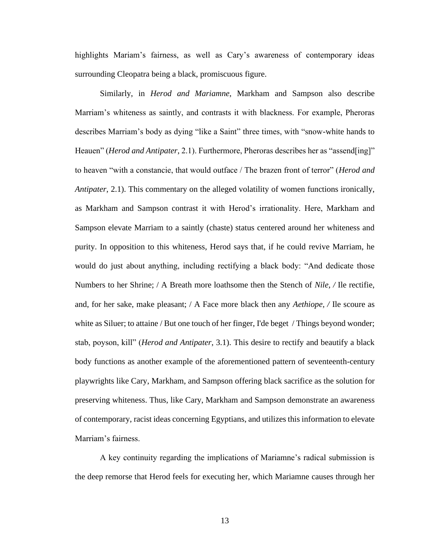highlights Mariam's fairness, as well as Cary's awareness of contemporary ideas surrounding Cleopatra being a black, promiscuous figure.

Similarly, in *Herod and Mariamne*, Markham and Sampson also describe Marriam's whiteness as saintly, and contrasts it with blackness. For example, Pheroras describes Marriam's body as dying "like a Saint" three times, with "snow-white hands to Heauen" (*Herod and Antipater*, 2.1). Furthermore, Pheroras describes her as "assend[ing]" to heaven "with a constancie, that would outface / The brazen front of terror" (*Herod and Antipater*, 2.1). This commentary on the alleged volatility of women functions ironically, as Markham and Sampson contrast it with Herod's irrationality. Here, Markham and Sampson elevate Marriam to a saintly (chaste) status centered around her whiteness and purity. In opposition to this whiteness, Herod says that, if he could revive Marriam, he would do just about anything, including rectifying a black body: "And dedicate those Numbers to her Shrine; / A Breath more loathsome then the Stench of *Nile, /* Ile rectifie, and, for her sake, make pleasant; / A Face more black then any *Aethiope, /* Ile scoure as white as Siluer; to attaine / But one touch of her finger, I'de beget / Things beyond wonder; stab, poyson, kill" (*Herod and Antipater*, 3.1). This desire to rectify and beautify a black body functions as another example of the aforementioned pattern of seventeenth-century playwrights like Cary, Markham, and Sampson offering black sacrifice as the solution for preserving whiteness. Thus, like Cary, Markham and Sampson demonstrate an awareness of contemporary, racist ideas concerning Egyptians, and utilizes this information to elevate Marriam's fairness.

A key continuity regarding the implications of Mariamne's radical submission is the deep remorse that Herod feels for executing her, which Mariamne causes through her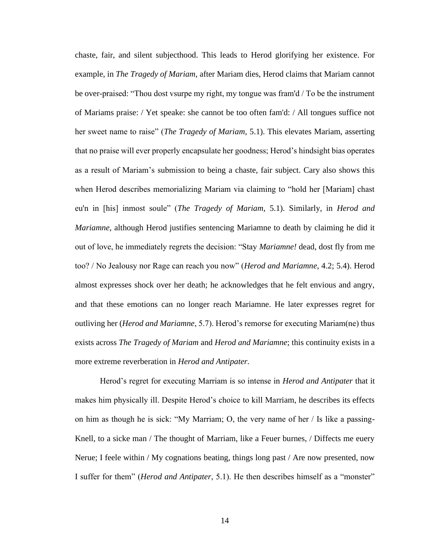chaste, fair, and silent subjecthood. This leads to Herod glorifying her existence. For example, in *The Tragedy of Mariam*, after Mariam dies, Herod claims that Mariam cannot be over-praised: "Thou dost vsurpe my right, my tongue was fram'd / To be the instrument of Mariams praise: / Yet speake: she cannot be too often fam'd: / All tongues suffice not her sweet name to raise" (*The Tragedy of Mariam*, 5.1). This elevates Mariam, asserting that no praise will ever properly encapsulate her goodness; Herod's hindsight bias operates as a result of Mariam's submission to being a chaste, fair subject. Cary also shows this when Herod describes memorializing Mariam via claiming to "hold her [Mariam] chast eu'n in [his] inmost soule" (*The Tragedy of Mariam*, 5.1). Similarly, in *Herod and Mariamne*, although Herod justifies sentencing Mariamne to death by claiming he did it out of love, he immediately regrets the decision: "Stay *Mariamne!* dead, dost fly from me too? / No Jealousy nor Rage can reach you now" (*Herod and Mariamne*, 4.2; 5.4). Herod almost expresses shock over her death; he acknowledges that he felt envious and angry, and that these emotions can no longer reach Mariamne. He later expresses regret for outliving her (*Herod and Mariamne*, 5.7). Herod's remorse for executing Mariam(ne) thus exists across *The Tragedy of Mariam* and *Herod and Mariamne*; this continuity exists in a more extreme reverberation in *Herod and Antipater.*

Herod's regret for executing Marriam is so intense in *Herod and Antipater* that it makes him physically ill. Despite Herod's choice to kill Marriam, he describes its effects on him as though he is sick: "My Marriam; O, the very name of her / Is like a passing-Knell, to a sicke man / The thought of Marriam, like a Feuer burnes, / Diffects me euery Nerue; I feele within / My cognations beating, things long past / Are now presented, now I suffer for them" (*Herod and Antipater*, 5.1). He then describes himself as a "monster"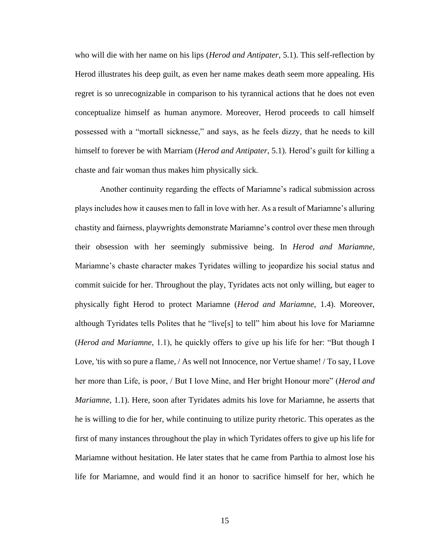who will die with her name on his lips (*Herod and Antipater*, 5.1). This self-reflection by Herod illustrates his deep guilt, as even her name makes death seem more appealing. His regret is so unrecognizable in comparison to his tyrannical actions that he does not even conceptualize himself as human anymore. Moreover, Herod proceeds to call himself possessed with a "mortall sicknesse," and says, as he feels dizzy, that he needs to kill himself to forever be with Marriam (*Herod and Antipater*, 5.1). Herod's guilt for killing a chaste and fair woman thus makes him physically sick*.* 

Another continuity regarding the effects of Mariamne's radical submission across plays includes how it causes men to fall in love with her. As a result of Mariamne's alluring chastity and fairness, playwrights demonstrate Mariamne's control over these men through their obsession with her seemingly submissive being. In *Herod and Mariamne*, Mariamne's chaste character makes Tyridates willing to jeopardize his social status and commit suicide for her. Throughout the play, Tyridates acts not only willing, but eager to physically fight Herod to protect Mariamne (*Herod and Mariamne*, 1.4). Moreover, although Tyridates tells Polites that he "live[s] to tell" him about his love for Mariamne (*Herod and Mariamne*, 1.1), he quickly offers to give up his life for her: "But though I Love, 'tis with so pure a flame, / As well not Innocence, nor Vertue shame! / To say, I Love her more than Life, is poor, / But I love Mine, and Her bright Honour more" (*Herod and Mariamne*, 1.1). Here, soon after Tyridates admits his love for Mariamne, he asserts that he is willing to die for her, while continuing to utilize purity rhetoric. This operates as the first of many instances throughout the play in which Tyridates offers to give up his life for Mariamne without hesitation. He later states that he came from Parthia to almost lose his life for Mariamne, and would find it an honor to sacrifice himself for her, which he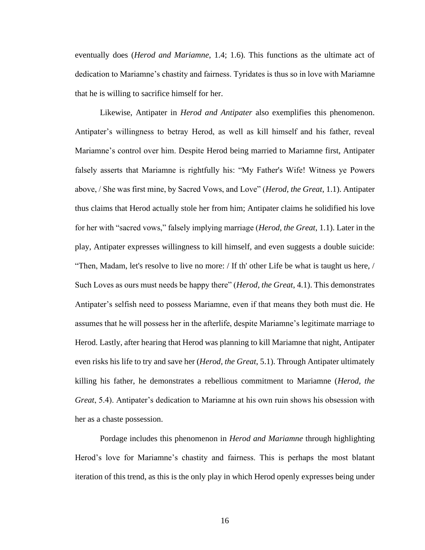eventually does (*Herod and Mariamne*, 1.4; 1.6). This functions as the ultimate act of dedication to Mariamne's chastity and fairness. Tyridates is thus so in love with Mariamne that he is willing to sacrifice himself for her.

Likewise, Antipater in *Herod and Antipater* also exemplifies this phenomenon. Antipater's willingness to betray Herod, as well as kill himself and his father, reveal Mariamne's control over him. Despite Herod being married to Mariamne first, Antipater falsely asserts that Mariamne is rightfully his: "My Father's Wife! Witness ye Powers above, / She was first mine, by Sacred Vows, and Love" (*Herod, the Great*, 1.1). Antipater thus claims that Herod actually stole her from him; Antipater claims he solidified his love for her with "sacred vows," falsely implying marriage (*Herod, the Great*, 1.1). Later in the play, Antipater expresses willingness to kill himself, and even suggests a double suicide: "Then, Madam, let's resolve to live no more: / If th' other Life be what is taught us here, / Such Loves as ours must needs be happy there" (*Herod, the Great*, 4.1). This demonstrates Antipater's selfish need to possess Mariamne, even if that means they both must die. He assumes that he will possess her in the afterlife, despite Mariamne's legitimate marriage to Herod. Lastly, after hearing that Herod was planning to kill Mariamne that night, Antipater even risks his life to try and save her (*Herod, the Great*, 5.1). Through Antipater ultimately killing his father, he demonstrates a rebellious commitment to Mariamne (*Herod, the Great*, 5.4). Antipater's dedication to Mariamne at his own ruin shows his obsession with her as a chaste possession.

Pordage includes this phenomenon in *Herod and Mariamne* through highlighting Herod's love for Mariamne's chastity and fairness. This is perhaps the most blatant iteration of this trend, as this is the only play in which Herod openly expresses being under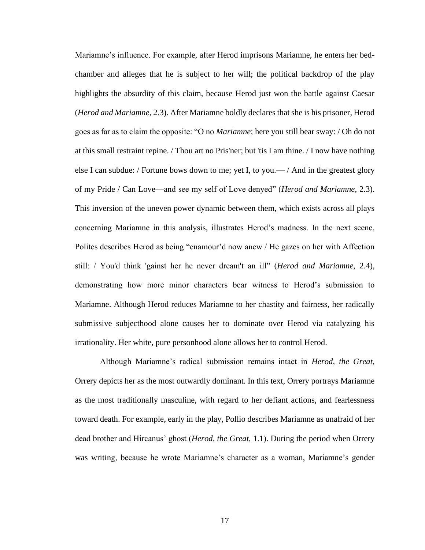Mariamne's influence. For example, after Herod imprisons Mariamne, he enters her bedchamber and alleges that he is subject to her will; the political backdrop of the play highlights the absurdity of this claim, because Herod just won the battle against Caesar (*Herod and Mariamne*, 2.3). After Mariamne boldly declares that she is his prisoner, Herod goes as far as to claim the opposite: "O no *Mariamne*; here you still bear sway: / Oh do not at this small restraint repine. / Thou art no Pris'ner; but 'tis I am thine. / I now have nothing else I can subdue: / Fortune bows down to me; yet I, to you.— / And in the greatest glory of my Pride / Can Love—and see my self of Love denyed" (*Herod and Mariamne*, 2.3). This inversion of the uneven power dynamic between them, which exists across all plays concerning Mariamne in this analysis, illustrates Herod's madness. In the next scene, Polites describes Herod as being "enamour'd now anew / He gazes on her with Affection still: / You'd think 'gainst her he never dream't an ill" (*Herod and Mariamne*, 2.4), demonstrating how more minor characters bear witness to Herod's submission to Mariamne. Although Herod reduces Mariamne to her chastity and fairness, her radically submissive subjecthood alone causes her to dominate over Herod via catalyzing his irrationality. Her white, pure personhood alone allows her to control Herod.

Although Mariamne's radical submission remains intact in *Herod, the Great,*  Orrery depicts her as the most outwardly dominant. In this text, Orrery portrays Mariamne as the most traditionally masculine, with regard to her defiant actions, and fearlessness toward death. For example, early in the play, Pollio describes Mariamne as unafraid of her dead brother and Hircanus' ghost (*Herod, the Great*, 1.1). During the period when Orrery was writing, because he wrote Mariamne's character as a woman, Mariamne's gender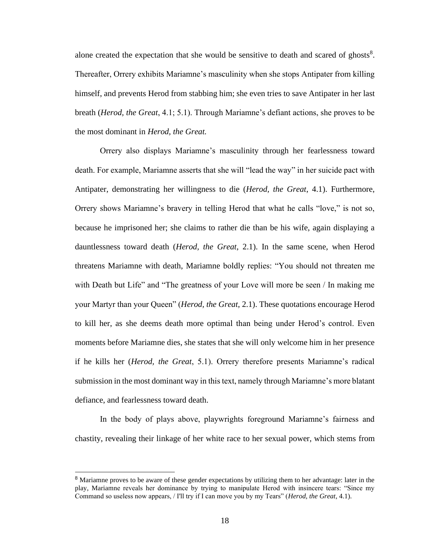alone created the expectation that she would be sensitive to death and scared of ghosts<sup>8</sup>. Thereafter, Orrery exhibits Mariamne's masculinity when she stops Antipater from killing himself, and prevents Herod from stabbing him; she even tries to save Antipater in her last breath (*Herod, the Great*, 4.1; 5.1). Through Mariamne's defiant actions, she proves to be the most dominant in *Herod, the Great.* 

Orrery also displays Mariamne's masculinity through her fearlessness toward death. For example, Mariamne asserts that she will "lead the way" in her suicide pact with Antipater, demonstrating her willingness to die (*Herod, the Great*, 4.1). Furthermore, Orrery shows Mariamne's bravery in telling Herod that what he calls "love," is not so, because he imprisoned her; she claims to rather die than be his wife, again displaying a dauntlessness toward death (*Herod, the Great*, 2.1). In the same scene, when Herod threatens Mariamne with death, Mariamne boldly replies: "You should not threaten me with Death but Life" and "The greatness of your Love will more be seen / In making me your Martyr than your Queen" (*Herod, the Great*, 2.1). These quotations encourage Herod to kill her, as she deems death more optimal than being under Herod's control. Even moments before Mariamne dies, she states that she will only welcome him in her presence if he kills her (*Herod, the Great*, 5.1). Orrery therefore presents Mariamne's radical submission in the most dominant way in this text, namely through Mariamne's more blatant defiance, and fearlessness toward death.

In the body of plays above, playwrights foreground Mariamne's fairness and chastity, revealing their linkage of her white race to her sexual power, which stems from

<sup>&</sup>lt;sup>8</sup> Mariamne proves to be aware of these gender expectations by utilizing them to her advantage: later in the play, Mariamne reveals her dominance by trying to manipulate Herod with insincere tears: "Since my Command so useless now appears, / I'll try if I can move you by my Tears" (*Herod, the Great*, 4.1).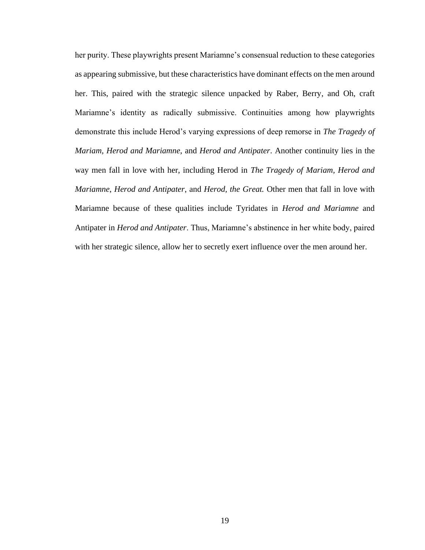her purity. These playwrights present Mariamne's consensual reduction to these categories as appearing submissive, but these characteristics have dominant effects on the men around her. This, paired with the strategic silence unpacked by Raber, Berry, and Oh, craft Mariamne's identity as radically submissive. Continuities among how playwrights demonstrate this include Herod's varying expressions of deep remorse in *The Tragedy of Mariam, Herod and Mariamne*, and *Herod and Antipater*. Another continuity lies in the way men fall in love with her, including Herod in *The Tragedy of Mariam, Herod and Mariamne*, *Herod and Antipater*, and *Herod, the Great.* Other men that fall in love with Mariamne because of these qualities include Tyridates in *Herod and Mariamne* and Antipater in *Herod and Antipater*. Thus, Mariamne's abstinence in her white body, paired with her strategic silence, allow her to secretly exert influence over the men around her.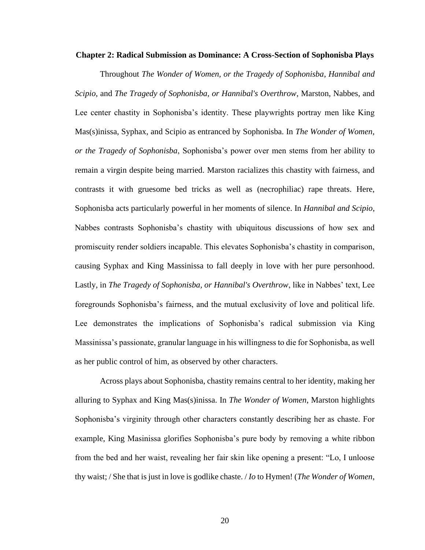#### **Chapter 2: Radical Submission as Dominance: A Cross-Section of Sophonisba Plays**

Throughout *The Wonder of Women, or the Tragedy of Sophonisba*, *Hannibal and Scipio*, and *The Tragedy of Sophonisba, or Hannibal's Overthrow*, Marston, Nabbes, and Lee center chastity in Sophonisba's identity. These playwrights portray men like King Mas(s)inissa, Syphax, and Scipio as entranced by Sophonisba. In *The Wonder of Women, or the Tragedy of Sophonisba*, Sophonisba's power over men stems from her ability to remain a virgin despite being married. Marston racializes this chastity with fairness, and contrasts it with gruesome bed tricks as well as (necrophiliac) rape threats. Here, Sophonisba acts particularly powerful in her moments of silence. In *Hannibal and Scipio*, Nabbes contrasts Sophonisba's chastity with ubiquitous discussions of how sex and promiscuity render soldiers incapable. This elevates Sophonisba's chastity in comparison, causing Syphax and King Massinissa to fall deeply in love with her pure personhood. Lastly, in *The Tragedy of Sophonisba, or Hannibal's Overthrow*, like in Nabbes' text, Lee foregrounds Sophonisba's fairness, and the mutual exclusivity of love and political life. Lee demonstrates the implications of Sophonisba's radical submission via King Massinissa's passionate, granular language in his willingness to die for Sophonisba, as well as her public control of him, as observed by other characters.

Across plays about Sophonisba, chastity remains central to her identity, making her alluring to Syphax and King Mas(s)inissa. In *The Wonder of Women*, Marston highlights Sophonisba's virginity through other characters constantly describing her as chaste. For example, King Masinissa glorifies Sophonisba's pure body by removing a white ribbon from the bed and her waist, revealing her fair skin like opening a present: "Lo, I unloose thy waist; / She that is just in love is godlike chaste. / *Io* to Hymen! (*The Wonder of Women*,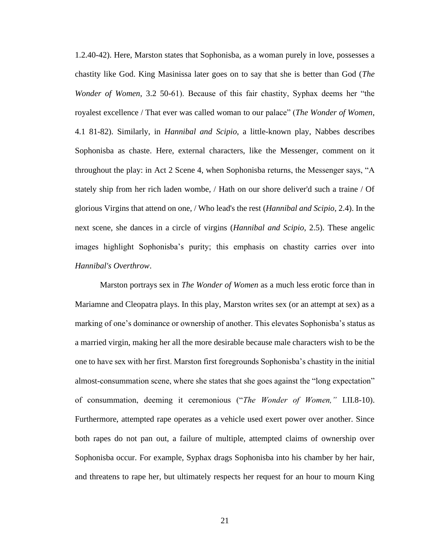1.2.40-42). Here, Marston states that Sophonisba, as a woman purely in love, possesses a chastity like God. King Masinissa later goes on to say that she is better than God (*The Wonder of Women*, 3.2 50-61). Because of this fair chastity, Syphax deems her "the royalest excellence / That ever was called woman to our palace" (*The Wonder of Women*, 4.1 81-82). Similarly, in *Hannibal and Scipio*, a little-known play, Nabbes describes Sophonisba as chaste. Here, external characters, like the Messenger, comment on it throughout the play: in Act 2 Scene 4, when Sophonisba returns, the Messenger says, "A stately ship from her rich laden wombe, / Hath on our shore deliver'd such a traine / Of glorious Virgins that attend on one, / Who lead's the rest (*Hannibal and Scipio*, 2.4). In the next scene, she dances in a circle of virgins (*Hannibal and Scipio*, 2.5). These angelic images highlight Sophonisba's purity; this emphasis on chastity carries over into *Hannibal's Overthrow*.

Marston portrays sex in *The Wonder of Women* as a much less erotic force than in Mariamne and Cleopatra plays. In this play, Marston writes sex (or an attempt at sex) as a marking of one's dominance or ownership of another. This elevates Sophonisba's status as a married virgin, making her all the more desirable because male characters wish to be the one to have sex with her first. Marston first foregrounds Sophonisba's chastity in the initial almost-consummation scene, where she states that she goes against the "long expectation" of consummation, deeming it ceremonious ("*The Wonder of Women,"* I.II.8-10). Furthermore, attempted rape operates as a vehicle used exert power over another. Since both rapes do not pan out, a failure of multiple, attempted claims of ownership over Sophonisba occur. For example, Syphax drags Sophonisba into his chamber by her hair, and threatens to rape her, but ultimately respects her request for an hour to mourn King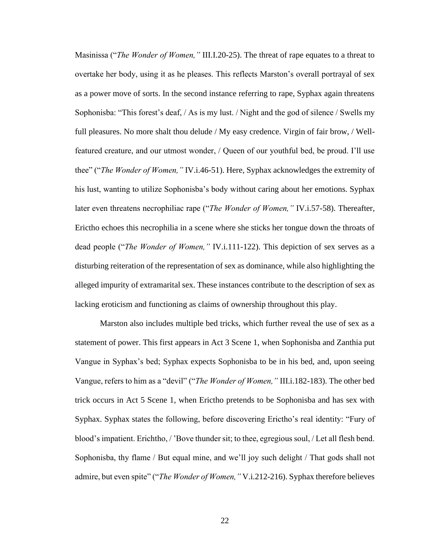Masinissa ("*The Wonder of Women,"* III.I.20-25). The threat of rape equates to a threat to overtake her body, using it as he pleases. This reflects Marston's overall portrayal of sex as a power move of sorts. In the second instance referring to rape, Syphax again threatens Sophonisba: "This forest's deaf, / As is my lust. / Night and the god of silence / Swells my full pleasures. No more shalt thou delude / My easy credence. Virgin of fair brow, / Wellfeatured creature, and our utmost wonder, / Queen of our youthful bed, be proud. I'll use thee" ("*The Wonder of Women,"* IV.i.46-51). Here, Syphax acknowledges the extremity of his lust, wanting to utilize Sophonisba's body without caring about her emotions. Syphax later even threatens necrophiliac rape ("*The Wonder of Women,"* IV.i.57-58). Thereafter, Erictho echoes this necrophilia in a scene where she sticks her tongue down the throats of dead people ("*The Wonder of Women,"* IV.i.111-122). This depiction of sex serves as a disturbing reiteration of the representation of sex as dominance, while also highlighting the alleged impurity of extramarital sex. These instances contribute to the description of sex as lacking eroticism and functioning as claims of ownership throughout this play.

Marston also includes multiple bed tricks, which further reveal the use of sex as a statement of power. This first appears in Act 3 Scene 1, when Sophonisba and Zanthia put Vangue in Syphax's bed; Syphax expects Sophonisba to be in his bed, and, upon seeing Vangue, refers to him as a "devil" ("*The Wonder of Women,"* III.i.182-183). The other bed trick occurs in Act 5 Scene 1, when Erictho pretends to be Sophonisba and has sex with Syphax. Syphax states the following, before discovering Erictho's real identity: "Fury of blood's impatient. Erichtho, / 'Bove thunder sit; to thee, egregious soul, / Let all flesh bend. Sophonisba, thy flame / But equal mine, and we'll joy such delight / That gods shall not admire, but even spite" ("*The Wonder of Women,"* V.i.212-216). Syphax therefore believes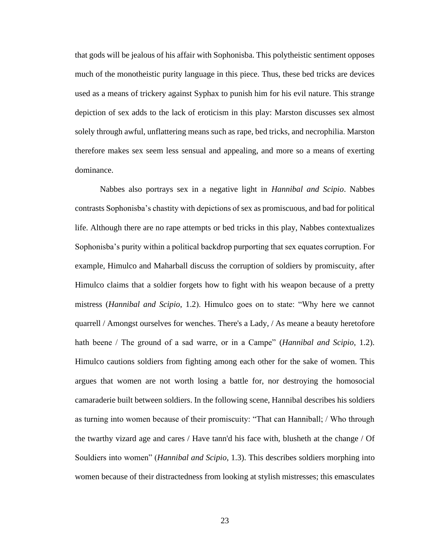that gods will be jealous of his affair with Sophonisba. This polytheistic sentiment opposes much of the monotheistic purity language in this piece. Thus, these bed tricks are devices used as a means of trickery against Syphax to punish him for his evil nature. This strange depiction of sex adds to the lack of eroticism in this play: Marston discusses sex almost solely through awful, unflattering means such as rape, bed tricks, and necrophilia. Marston therefore makes sex seem less sensual and appealing, and more so a means of exerting dominance.

Nabbes also portrays sex in a negative light in *Hannibal and Scipio*. Nabbes contrasts Sophonisba's chastity with depictions of sex as promiscuous, and bad for political life. Although there are no rape attempts or bed tricks in this play, Nabbes contextualizes Sophonisba's purity within a political backdrop purporting that sex equates corruption. For example, Himulco and Maharball discuss the corruption of soldiers by promiscuity, after Himulco claims that a soldier forgets how to fight with his weapon because of a pretty mistress (*Hannibal and Scipio*, 1.2). Himulco goes on to state: "Why here we cannot quarrell / Amongst ourselves for wenches. There's a Lady, / As meane a beauty heretofore hath beene / The ground of a sad warre, or in a Campe" (*Hannibal and Scipio*, 1.2). Himulco cautions soldiers from fighting among each other for the sake of women. This argues that women are not worth losing a battle for, nor destroying the homosocial camaraderie built between soldiers. In the following scene, Hannibal describes his soldiers as turning into women because of their promiscuity: "That can Hanniball; / Who through the twarthy vizard age and cares / Have tann'd his face with, blusheth at the change / Of Souldiers into women" (*Hannibal and Scipio*, 1.3). This describes soldiers morphing into women because of their distractedness from looking at stylish mistresses; this emasculates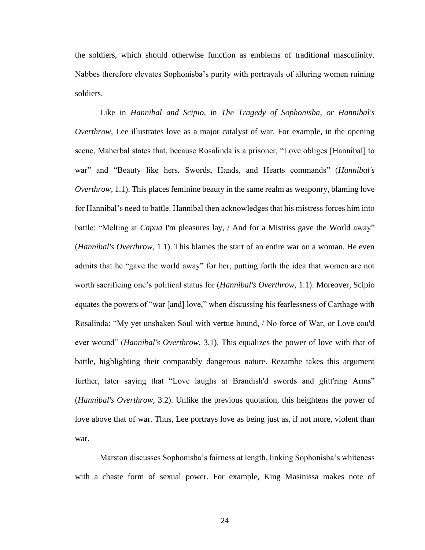the soldiers, which should otherwise function as emblems of traditional masculinity. Nabbes therefore elevates Sophonisba's purity with portrayals of alluring women ruining soldiers.

Like in *Hannibal and Scipio,* in *The Tragedy of Sophonisba, or Hannibal's Overthrow*, Lee illustrates love as a major catalyst of war. For example, in the opening scene, Maherbal states that, because Rosalinda is a prisoner, "Love obliges [Hannibal] to war" and "Beauty like hers, Swords, Hands, and Hearts commands" (*Hannibal's Overthrow,* 1.1). This places feminine beauty in the same realm as weaponry, blaming love for Hannibal's need to battle. Hannibal then acknowledges that his mistress forces him into battle: "Melting at *Capua* I'm pleasures lay, / And for a Mistriss gave the World away" (*Hannibal's Overthrow,* 1.1). This blames the start of an entire war on a woman. He even admits that he "gave the world away" for her, putting forth the idea that women are not worth sacrificing one's political status for (*Hannibal's Overthrow,* 1.1). Moreover, Scipio equates the powers of "war [and] love," when discussing his fearlessness of Carthage with Rosalinda: "My yet unshaken Soul with vertue bound, / No force of War, or Love cou'd ever wound" (*Hannibal's Overthrow,* 3.1). This equalizes the power of love with that of battle, highlighting their comparably dangerous nature. Rezambe takes this argument further, later saying that "Love laughs at Brandish'd swords and glitt'ring Arms" (*Hannibal's Overthrow,* 3.2). Unlike the previous quotation, this heightens the power of love above that of war. Thus, Lee portrays love as being just as, if not more, violent than war.

Marston discusses Sophonisba's fairness at length, linking Sophonisba's whiteness with a chaste form of sexual power. For example, King Masinissa makes note of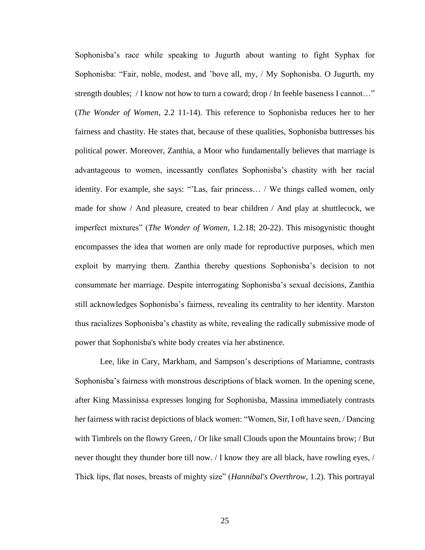Sophonisba's race while speaking to Jugurth about wanting to fight Syphax for Sophonisba: "Fair, noble, modest, and 'bove all, my, / My Sophonisba. O Jugurth, my strength doubles; / I know not how to turn a coward; drop / In feeble baseness I cannot…" (*The Wonder of Women*, 2.2 11-14). This reference to Sophonisba reduces her to her fairness and chastity. He states that, because of these qualities, Sophonisba buttresses his political power. Moreover, Zanthia, a Moor who fundamentally believes that marriage is advantageous to women, incessantly conflates Sophonisba's chastity with her racial identity. For example, she says: "'Las, fair princess… / We things called women, only made for show / And pleasure, created to bear children / And play at shuttlecock, we imperfect mixtures" (*The Wonder of Women*, 1.2.18; 20-22). This misogynistic thought encompasses the idea that women are only made for reproductive purposes, which men exploit by marrying them. Zanthia thereby questions Sophonisba's decision to not consummate her marriage. Despite interrogating Sophonisba's sexual decisions, Zanthia still acknowledges Sophonisba's fairness, revealing its centrality to her identity. Marston thus racializes Sophonisba's chastity as white, revealing the radically submissive mode of power that Sophonisba's white body creates via her abstinence.

Lee, like in Cary, Markham, and Sampson's descriptions of Mariamne, contrasts Sophonisba's fairness with monstrous descriptions of black women. In the opening scene, after King Massinissa expresses longing for Sophonisba, Massina immediately contrasts her fairness with racist depictions of black women: "Women, Sir, I oft have seen, / Dancing with Timbrels on the flowry Green, / Or like small Clouds upon the Mountains brow; / But never thought they thunder bore till now. / I know they are all black, have rowling eyes, / Thick lips, flat noses, breasts of mighty size" (*Hannibal's Overthrow,* 1.2). This portrayal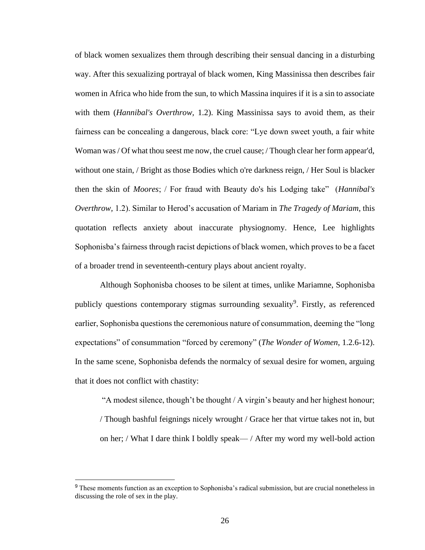of black women sexualizes them through describing their sensual dancing in a disturbing way. After this sexualizing portrayal of black women, King Massinissa then describes fair women in Africa who hide from the sun, to which Massina inquires if it is a sin to associate with them (*Hannibal's Overthrow,* 1.2). King Massinissa says to avoid them, as their fairness can be concealing a dangerous, black core: "Lye down sweet youth, a fair white Woman was / Of what thou seest me now, the cruel cause; / Though clear her form appear'd, without one stain, / Bright as those Bodies which o're darkness reign, / Her Soul is blacker then the skin of *Moores*; / For fraud with Beauty do's his Lodging take" (*Hannibal's Overthrow,* 1.2). Similar to Herod's accusation of Mariam in *The Tragedy of Mariam*, this quotation reflects anxiety about inaccurate physiognomy. Hence, Lee highlights Sophonisba's fairness through racist depictions of black women, which proves to be a facet of a broader trend in seventeenth-century plays about ancient royalty.

Although Sophonisba chooses to be silent at times, unlike Mariamne, Sophonisba publicly questions contemporary stigmas surrounding sexuality<sup>9</sup>. Firstly, as referenced earlier, Sophonisba questions the ceremonious nature of consummation, deeming the "long expectations" of consummation "forced by ceremony" (*The Wonder of Women*, 1.2.6-12). In the same scene, Sophonisba defends the normalcy of sexual desire for women, arguing that it does not conflict with chastity:

"A modest silence, though't be thought / A virgin's beauty and her highest honour; / Though bashful feignings nicely wrought / Grace her that virtue takes not in, but on her; / What I dare think I boldly speak— / After my word my well-bold action

<sup>&</sup>lt;sup>9</sup> These moments function as an exception to Sophonisba's radical submission, but are crucial nonetheless in discussing the role of sex in the play.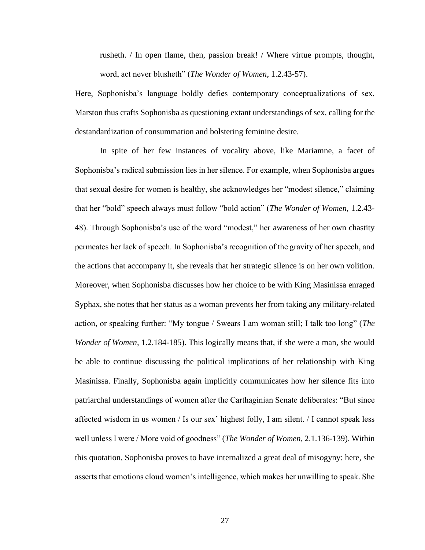rusheth. / In open flame, then, passion break! / Where virtue prompts, thought, word, act never blusheth" (*The Wonder of Women*, 1.2.43-57).

Here, Sophonisba's language boldly defies contemporary conceptualizations of sex. Marston thus crafts Sophonisba as questioning extant understandings of sex, calling for the destandardization of consummation and bolstering feminine desire.

In spite of her few instances of vocality above, like Mariamne, a facet of Sophonisba's radical submission lies in her silence. For example, when Sophonisba argues that sexual desire for women is healthy, she acknowledges her "modest silence," claiming that her "bold" speech always must follow "bold action" (*The Wonder of Women,* 1.2.43- 48). Through Sophonisba's use of the word "modest," her awareness of her own chastity permeates her lack of speech. In Sophonisba's recognition of the gravity of her speech, and the actions that accompany it, she reveals that her strategic silence is on her own volition. Moreover, when Sophonisba discusses how her choice to be with King Masinissa enraged Syphax, she notes that her status as a woman prevents her from taking any military-related action, or speaking further: "My tongue / Swears I am woman still; I talk too long" (*The Wonder of Women,* 1.2.184-185). This logically means that, if she were a man, she would be able to continue discussing the political implications of her relationship with King Masinissa. Finally, Sophonisba again implicitly communicates how her silence fits into patriarchal understandings of women after the Carthaginian Senate deliberates: "But since affected wisdom in us women / Is our sex' highest folly, I am silent. / I cannot speak less well unless I were / More void of goodness" (*The Wonder of Women,* 2.1.136-139). Within this quotation, Sophonisba proves to have internalized a great deal of misogyny: here, she asserts that emotions cloud women's intelligence, which makes her unwilling to speak. She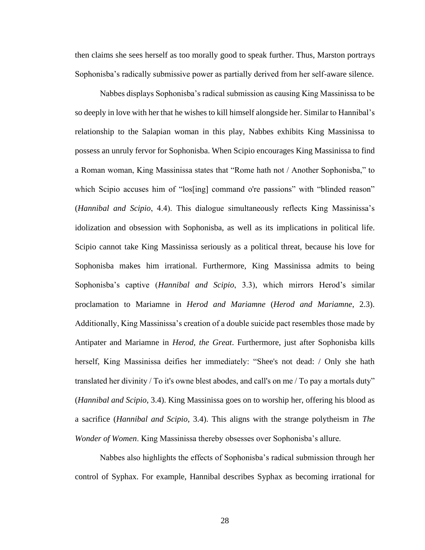then claims she sees herself as too morally good to speak further. Thus, Marston portrays Sophonisba's radically submissive power as partially derived from her self-aware silence.

Nabbes displays Sophonisba's radical submission as causing King Massinissa to be so deeply in love with her that he wishes to kill himself alongside her. Similar to Hannibal's relationship to the Salapian woman in this play, Nabbes exhibits King Massinissa to possess an unruly fervor for Sophonisba. When Scipio encourages King Massinissa to find a Roman woman, King Massinissa states that "Rome hath not / Another Sophonisba," to which Scipio accuses him of "los[ing] command o're passions" with "blinded reason" (*Hannibal and Scipio*, 4.4). This dialogue simultaneously reflects King Massinissa's idolization and obsession with Sophonisba, as well as its implications in political life. Scipio cannot take King Massinissa seriously as a political threat, because his love for Sophonisba makes him irrational. Furthermore, King Massinissa admits to being Sophonisba's captive (*Hannibal and Scipio*, 3.3), which mirrors Herod's similar proclamation to Mariamne in *Herod and Mariamne* (*Herod and Mariamne*, 2.3). Additionally, King Massinissa's creation of a double suicide pact resembles those made by Antipater and Mariamne in *Herod, the Great*. Furthermore, just after Sophonisba kills herself, King Massinissa deifies her immediately: "Shee's not dead: / Only she hath translated her divinity / To it's owne blest abodes, and call's on me / To pay a mortals duty" (*Hannibal and Scipio*, 3.4). King Massinissa goes on to worship her, offering his blood as a sacrifice (*Hannibal and Scipio*, 3.4). This aligns with the strange polytheism in *The Wonder of Women*. King Massinissa thereby obsesses over Sophonisba's allure.

Nabbes also highlights the effects of Sophonisba's radical submission through her control of Syphax. For example, Hannibal describes Syphax as becoming irrational for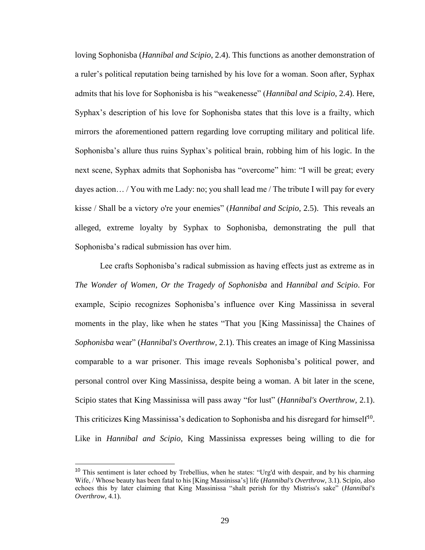loving Sophonisba (*Hannibal and Scipio*, 2.4). This functions as another demonstration of a ruler's political reputation being tarnished by his love for a woman. Soon after, Syphax admits that his love for Sophonisba is his "weakenesse" (*Hannibal and Scipio*, 2.4). Here, Syphax's description of his love for Sophonisba states that this love is a frailty, which mirrors the aforementioned pattern regarding love corrupting military and political life. Sophonisba's allure thus ruins Syphax's political brain, robbing him of his logic. In the next scene, Syphax admits that Sophonisba has "overcome" him: "I will be great; every dayes action… / You with me Lady: no; you shall lead me / The tribute I will pay for every kisse / Shall be a victory o're your enemies" (*Hannibal and Scipio*, 2.5). This reveals an alleged, extreme loyalty by Syphax to Sophonisba, demonstrating the pull that Sophonisba's radical submission has over him.

Lee crafts Sophonisba's radical submission as having effects just as extreme as in *The Wonder of Women, Or the Tragedy of Sophonisba* and *Hannibal and Scipio*. For example, Scipio recognizes Sophonisba's influence over King Massinissa in several moments in the play, like when he states "That you [King Massinissa] the Chaines of *Sophonisba* wear" (*Hannibal's Overthrow,* 2.1). This creates an image of King Massinissa comparable to a war prisoner. This image reveals Sophonisba's political power, and personal control over King Massinissa, despite being a woman. A bit later in the scene, Scipio states that King Massinissa will pass away "for lust" (*Hannibal's Overthrow,* 2.1). This criticizes King Massinissa's dedication to Sophonisba and his disregard for himself<sup>10</sup>. Like in *Hannibal and Scipio*, King Massinissa expresses being willing to die for

<sup>&</sup>lt;sup>10</sup> This sentiment is later echoed by Trebellius, when he states: "Urg'd with despair, and by his charming Wife, / Whose beauty has been fatal to his [King Massinissa's] life (*Hannibal's Overthrow,* 3.1). Scipio, also echoes this by later claiming that King Massinissa "shalt perish for thy Mistriss's sake" (*Hannibal's Overthrow,* 4.1).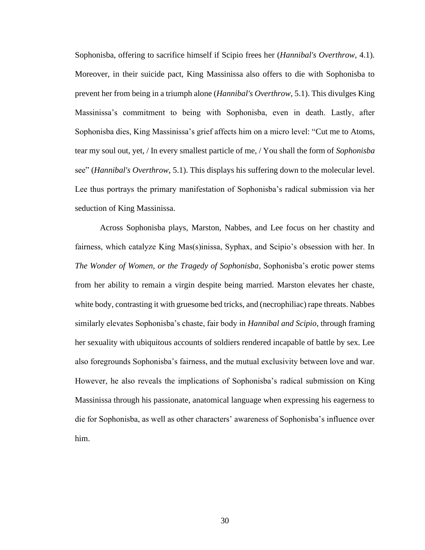Sophonisba, offering to sacrifice himself if Scipio frees her (*Hannibal's Overthrow,* 4.1). Moreover, in their suicide pact, King Massinissa also offers to die with Sophonisba to prevent her from being in a triumph alone (*Hannibal's Overthrow,* 5.1). This divulges King Massinissa's commitment to being with Sophonisba, even in death. Lastly, after Sophonisba dies, King Massinissa's grief affects him on a micro level: "Cut me to Atoms, tear my soul out, yet, / In every smallest particle of me, / You shall the form of *Sophonisba* see" (*Hannibal's Overthrow,* 5.1). This displays his suffering down to the molecular level. Lee thus portrays the primary manifestation of Sophonisba's radical submission via her seduction of King Massinissa.

Across Sophonisba plays, Marston, Nabbes, and Lee focus on her chastity and fairness, which catalyze King Mas(s)inissa, Syphax, and Scipio's obsession with her. In *The Wonder of Women, or the Tragedy of Sophonisba*, Sophonisba's erotic power stems from her ability to remain a virgin despite being married. Marston elevates her chaste, white body, contrasting it with gruesome bed tricks, and (necrophiliac) rape threats. Nabbes similarly elevates Sophonisba's chaste, fair body in *Hannibal and Scipio*, through framing her sexuality with ubiquitous accounts of soldiers rendered incapable of battle by sex. Lee also foregrounds Sophonisba's fairness, and the mutual exclusivity between love and war. However, he also reveals the implications of Sophonisba's radical submission on King Massinissa through his passionate, anatomical language when expressing his eagerness to die for Sophonisba, as well as other characters' awareness of Sophonisba's influence over him.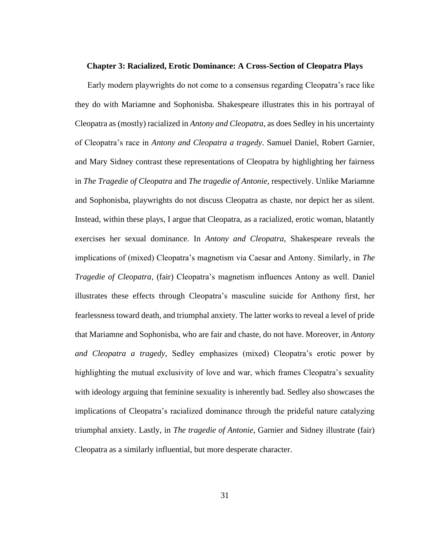#### **Chapter 3: Racialized, Erotic Dominance: A Cross-Section of Cleopatra Plays**

Early modern playwrights do not come to a consensus regarding Cleopatra's race like they do with Mariamne and Sophonisba. Shakespeare illustrates this in his portrayal of Cleopatra as (mostly) racialized in *Antony and Cleopatra*, as does Sedley in his uncertainty of Cleopatra's race in *Antony and Cleopatra a tragedy*. Samuel Daniel, Robert Garnier, and Mary Sidney contrast these representations of Cleopatra by highlighting her fairness in *The Tragedie of Cleopatra* and *The tragedie of Antonie*, respectively. Unlike Mariamne and Sophonisba, playwrights do not discuss Cleopatra as chaste, nor depict her as silent. Instead, within these plays, I argue that Cleopatra, as a racialized, erotic woman, blatantly exercises her sexual dominance. In *Antony and Cleopatra*, Shakespeare reveals the implications of (mixed) Cleopatra's magnetism via Caesar and Antony. Similarly, in *The Tragedie of Cleopatra,* (fair) Cleopatra's magnetism influences Antony as well. Daniel illustrates these effects through Cleopatra's masculine suicide for Anthony first, her fearlessness toward death, and triumphal anxiety. The latter works to reveal a level of pride that Mariamne and Sophonisba, who are fair and chaste, do not have. Moreover, in *Antony and Cleopatra a tragedy*, Sedley emphasizes (mixed) Cleopatra's erotic power by highlighting the mutual exclusivity of love and war, which frames Cleopatra's sexuality with ideology arguing that feminine sexuality is inherently bad. Sedley also showcases the implications of Cleopatra's racialized dominance through the prideful nature catalyzing triumphal anxiety. Lastly, in *The tragedie of Antonie*, Garnier and Sidney illustrate (fair) Cleopatra as a similarly influential, but more desperate character.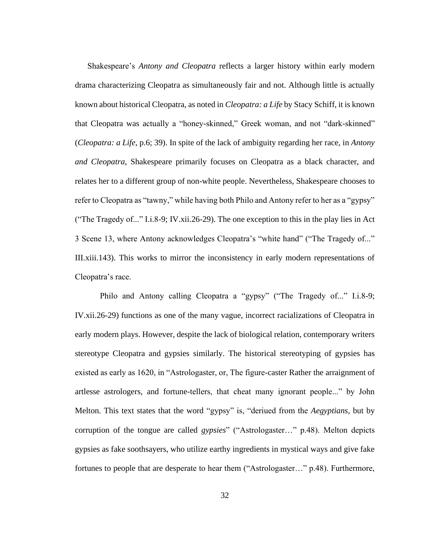Shakespeare's *Antony and Cleopatra* reflects a larger history within early modern drama characterizing Cleopatra as simultaneously fair and not. Although little is actually known about historical Cleopatra, as noted in *Cleopatra: a Life* by Stacy Schiff, it is known that Cleopatra was actually a "honey-skinned," Greek woman, and not "dark-skinned" (*Cleopatra: a Life*, p.6; 39). In spite of the lack of ambiguity regarding her race, in *Antony and Cleopatra*, Shakespeare primarily focuses on Cleopatra as a black character, and relates her to a different group of non-white people. Nevertheless, Shakespeare chooses to refer to Cleopatra as "tawny," while having both Philo and Antony refer to her as a "gypsy" ("The Tragedy of..." I.i.8-9; IV.xii.26-29). The one exception to this in the play lies in Act 3 Scene 13, where Antony acknowledges Cleopatra's "white hand" ("The Tragedy of..." III.xiii.143). This works to mirror the inconsistency in early modern representations of Cleopatra's race.

Philo and Antony calling Cleopatra a "gypsy" ("The Tragedy of..." I.i.8-9; IV.xii.26-29) functions as one of the many vague, incorrect racializations of Cleopatra in early modern plays. However, despite the lack of biological relation, contemporary writers stereotype Cleopatra and gypsies similarly. The historical stereotyping of gypsies has existed as early as 1620, in "Astrologaster, or, The figure-caster Rather the arraignment of artlesse astrologers, and fortune-tellers, that cheat many ignorant people..." by John Melton. This text states that the word "gypsy" is, "deriued from the *Aegyptians,* but by corruption of the tongue are called *gypsies*" ("Astrologaster…" p.48). Melton depicts gypsies as fake soothsayers, who utilize earthy ingredients in mystical ways and give fake fortunes to people that are desperate to hear them ("Astrologaster…" p.48). Furthermore,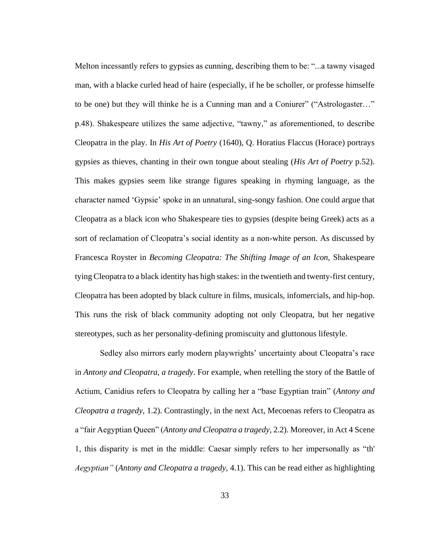Melton incessantly refers to gypsies as cunning, describing them to be: "...a tawny visaged man, with a blacke curled head of haire (especially, if he be scholler, or professe himselfe to be one) but they will thinke he is a Cunning man and a Coniurer" ("Astrologaster…" p.48). Shakespeare utilizes the same adjective, "tawny," as aforementioned, to describe Cleopatra in the play. In *His Art of Poetry* (1640)*,* Q. Horatius Flaccus (Horace) portrays gypsies as thieves, chanting in their own tongue about stealing (*His Art of Poetry* p.52). This makes gypsies seem like strange figures speaking in rhyming language, as the character named 'Gypsie' spoke in an unnatural, sing-songy fashion. One could argue that Cleopatra as a black icon who Shakespeare ties to gypsies (despite being Greek) acts as a sort of reclamation of Cleopatra's social identity as a non-white person. As discussed by Francesca Royster in *Becoming Cleopatra: The Shifting Image of an Icon,* Shakespeare tying Cleopatra to a black identity has high stakes: in the twentieth and twenty-first century, Cleopatra has been adopted by black culture in films, musicals, infomercials, and hip-hop. This runs the risk of black community adopting not only Cleopatra, but her negative stereotypes, such as her personality-defining promiscuity and gluttonous lifestyle.

Sedley also mirrors early modern playwrights' uncertainty about Cleopatra's race in *Antony and Cleopatra, a tragedy*. For example, when retelling the story of the Battle of Actium, Canidius refers to Cleopatra by calling her a "base Egyptian train" (*Antony and Cleopatra a tragedy,* 1.2). Contrastingly, in the next Act, Mecoenas refers to Cleopatra as a "fair Aegyptian Queen" (*Antony and Cleopatra a tragedy,* 2.2). Moreover, in Act 4 Scene 1, this disparity is met in the middle: Caesar simply refers to her impersonally as "th' *Aegyptian"* (*Antony and Cleopatra a tragedy,* 4.1). This can be read either as highlighting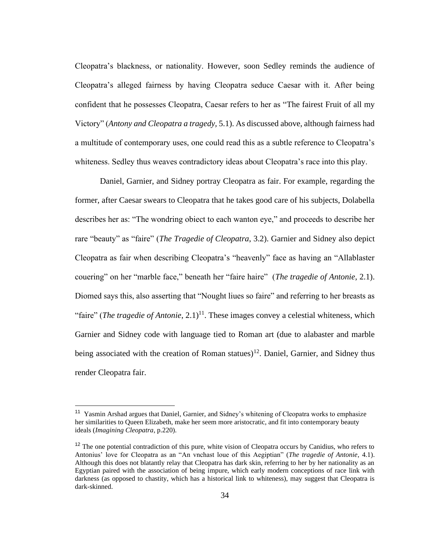Cleopatra's blackness, or nationality. However, soon Sedley reminds the audience of Cleopatra's alleged fairness by having Cleopatra seduce Caesar with it. After being confident that he possesses Cleopatra, Caesar refers to her as "The fairest Fruit of all my Victory" (*Antony and Cleopatra a tragedy,* 5.1). As discussed above, although fairness had a multitude of contemporary uses, one could read this as a subtle reference to Cleopatra's whiteness. Sedley thus weaves contradictory ideas about Cleopatra's race into this play.

Daniel, Garnier, and Sidney portray Cleopatra as fair. For example, regarding the former, after Caesar swears to Cleopatra that he takes good care of his subjects, Dolabella describes her as: "The wondring obiect to each wanton eye," and proceeds to describe her rare "beauty" as "faire" (*The Tragedie of Cleopatra*, 3.2). Garnier and Sidney also depict Cleopatra as fair when describing Cleopatra's "heavenly" face as having an "Allablaster couering" on her "marble face," beneath her "faire haire" (*The tragedie of Antonie*, 2.1). Diomed says this, also asserting that "Nought liues so faire" and referring to her breasts as "faire" (*The tragedie of Antonie*,  $2.1$ )<sup>11</sup>. These images convey a celestial whiteness, which Garnier and Sidney code with language tied to Roman art (due to alabaster and marble being associated with the creation of Roman statues)<sup>12</sup>. Daniel, Garnier, and Sidney thus render Cleopatra fair.

<sup>&</sup>lt;sup>11</sup> Yasmin Arshad argues that Daniel, Garnier, and Sidney's whitening of Cleopatra works to emphasize her similarities to Queen Elizabeth, make her seem more aristocratic, and fit into contemporary beauty ideals (*Imagining Cleopatra*, p.220).

<sup>&</sup>lt;sup>12</sup> The one potential contradiction of this pure, white vision of Cleopatra occurs by Canidius, who refers to Antonius' love for Cleopatra as an "An vnchast loue of this Aegiptian" (*The tragedie of Antonie*, 4.1). Although this does not blatantly relay that Cleopatra has dark skin, referring to her by her nationality as an Egyptian paired with the association of being impure, which early modern conceptions of race link with darkness (as opposed to chastity, which has a historical link to whiteness), may suggest that Cleopatra is dark-skinned.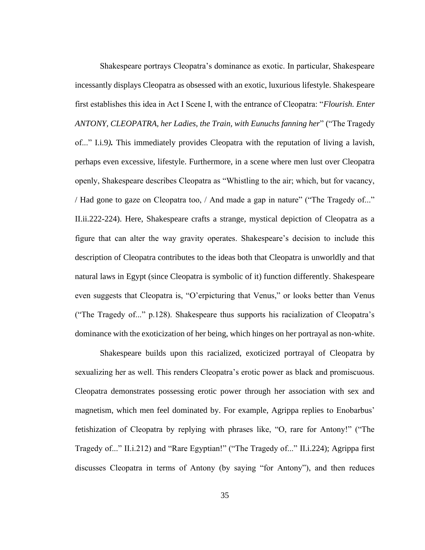Shakespeare portrays Cleopatra's dominance as exotic. In particular, Shakespeare incessantly displays Cleopatra as obsessed with an exotic, luxurious lifestyle. Shakespeare first establishes this idea in Act I Scene I, with the entrance of Cleopatra: "*Flourish. Enter ANTONY, CLEOPATRA, her Ladies, the Train, with Eunuchs fanning her*" ("The Tragedy of..." I.i.9*).* This immediately provides Cleopatra with the reputation of living a lavish, perhaps even excessive, lifestyle. Furthermore, in a scene where men lust over Cleopatra openly, Shakespeare describes Cleopatra as "Whistling to the air; which, but for vacancy, / Had gone to gaze on Cleopatra too, / And made a gap in nature" ("The Tragedy of..." II.ii.222-224). Here, Shakespeare crafts a strange, mystical depiction of Cleopatra as a figure that can alter the way gravity operates. Shakespeare's decision to include this description of Cleopatra contributes to the ideas both that Cleopatra is unworldly and that natural laws in Egypt (since Cleopatra is symbolic of it) function differently. Shakespeare even suggests that Cleopatra is, "O'erpicturing that Venus," or looks better than Venus ("The Tragedy of..." p.128). Shakespeare thus supports his racialization of Cleopatra's dominance with the exoticization of her being, which hinges on her portrayal as non-white.

Shakespeare builds upon this racialized, exoticized portrayal of Cleopatra by sexualizing her as well. This renders Cleopatra's erotic power as black and promiscuous. Cleopatra demonstrates possessing erotic power through her association with sex and magnetism, which men feel dominated by. For example, Agrippa replies to Enobarbus' fetishization of Cleopatra by replying with phrases like, "O, rare for Antony!" ("The Tragedy of..." II.i.212) and "Rare Egyptian!" ("The Tragedy of..." II.i.224); Agrippa first discusses Cleopatra in terms of Antony (by saying "for Antony"), and then reduces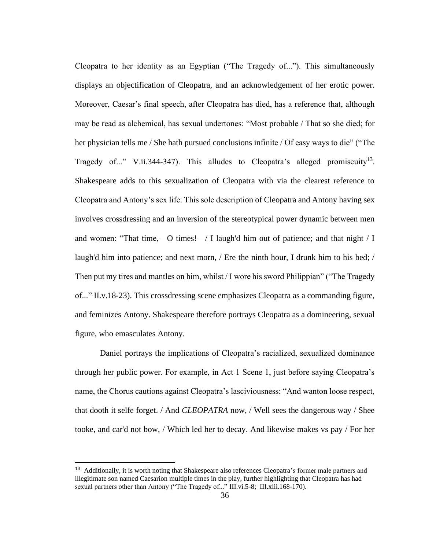Cleopatra to her identity as an Egyptian ("The Tragedy of..."). This simultaneously displays an objectification of Cleopatra, and an acknowledgement of her erotic power. Moreover, Caesar's final speech, after Cleopatra has died, has a reference that, although may be read as alchemical, has sexual undertones: "Most probable / That so she died; for her physician tells me / She hath pursued conclusions infinite / Of easy ways to die" ("The Tragedy of..." V.ii.344-347). This alludes to Cleopatra's alleged promiscuity<sup>13</sup>. Shakespeare adds to this sexualization of Cleopatra with via the clearest reference to Cleopatra and Antony's sex life. This sole description of Cleopatra and Antony having sex involves crossdressing and an inversion of the stereotypical power dynamic between men and women: "That time,—O times!—/ I laugh'd him out of patience; and that night / I laugh'd him into patience; and next morn, / Ere the ninth hour, I drunk him to his bed; / Then put my tires and mantles on him, whilst / I wore his sword Philippian" ("The Tragedy of..." II.v.18-23). This crossdressing scene emphasizes Cleopatra as a commanding figure, and feminizes Antony. Shakespeare therefore portrays Cleopatra as a domineering, sexual figure, who emasculates Antony.

Daniel portrays the implications of Cleopatra's racialized, sexualized dominance through her public power. For example, in Act 1 Scene 1, just before saying Cleopatra's name, the Chorus cautions against Cleopatra's lasciviousness: "And wanton loose respect, that dooth it selfe forget. / And *CLEOPATRA* now, / Well sees the dangerous way / Shee tooke, and car'd not bow, / Which led her to decay. And likewise makes vs pay / For her

<sup>&</sup>lt;sup>13</sup> Additionally, it is worth noting that Shakespeare also references Cleopatra's former male partners and illegitimate son named Caesarion multiple times in the play, further highlighting that Cleopatra has had sexual partners other than Antony ("The Tragedy of..." III.vi.5-8; III.xiii.168-170).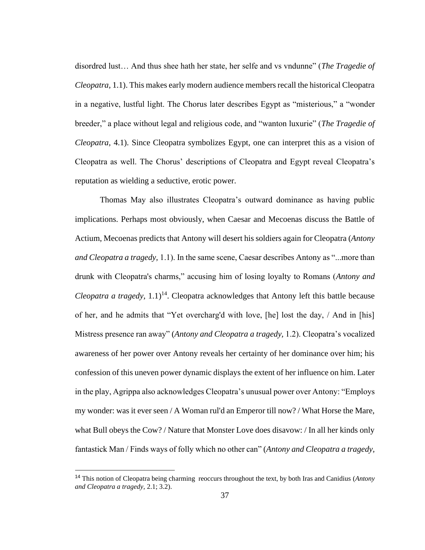disordred lust… And thus shee hath her state, her selfe and vs vndunne" (*The Tragedie of Cleopatra,* 1.1). This makes early modern audience members recall the historical Cleopatra in a negative, lustful light. The Chorus later describes Egypt as "misterious," a "wonder breeder," a place without legal and religious code, and "wanton luxurie" (*The Tragedie of Cleopatra,* 4.1). Since Cleopatra symbolizes Egypt, one can interpret this as a vision of Cleopatra as well. The Chorus' descriptions of Cleopatra and Egypt reveal Cleopatra's reputation as wielding a seductive, erotic power.

Thomas May also illustrates Cleopatra's outward dominance as having public implications. Perhaps most obviously, when Caesar and Mecoenas discuss the Battle of Actium, Mecoenas predicts that Antony will desert his soldiers again for Cleopatra (*Antony and Cleopatra a tragedy,* 1.1). In the same scene, Caesar describes Antony as "...more than drunk with Cleopatra's charms," accusing him of losing loyalty to Romans (*Antony and Cleopatra a tragedy*,  $1.1$ <sup>14</sup>. Cleopatra acknowledges that Antony left this battle because of her, and he admits that "Yet overcharg'd with love, [he] lost the day, / And in [his] Mistress presence ran away" (*Antony and Cleopatra a tragedy,* 1.2). Cleopatra's vocalized awareness of her power over Antony reveals her certainty of her dominance over him; his confession of this uneven power dynamic displays the extent of her influence on him. Later in the play, Agrippa also acknowledges Cleopatra's unusual power over Antony: "Employs my wonder: was it ever seen / A Woman rul'd an Emperor till now? / What Horse the Mare, what Bull obeys the Cow? / Nature that Monster Love does disavow: / In all her kinds only fantastick Man / Finds ways of folly which no other can" (*Antony and Cleopatra a tragedy,* 

<sup>14</sup> This notion of Cleopatra being charming reoccurs throughout the text, by both Iras and Canidius (*Antony and Cleopatra a tragedy,* 2.1; 3.2).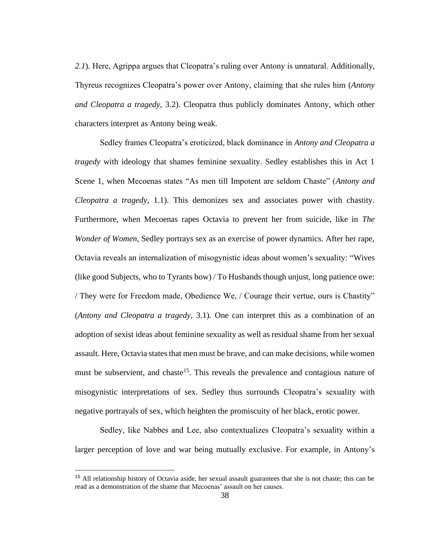2.1). Here, Agrippa argues that Cleopatra's ruling over Antony is unnatural. Additionally, Thyreus recognizes Cleopatra's power over Antony, claiming that she rules him (*Antony and Cleopatra a tragedy,* 3.2). Cleopatra thus publicly dominates Antony, which other characters interpret as Antony being weak.

Sedley frames Cleopatra's eroticized, black dominance in *Antony and Cleopatra a tragedy* with ideology that shames feminine sexuality. Sedley establishes this in Act 1 Scene 1, when Mecoenas states "As men till Impotent are seldom Chaste" (*Antony and Cleopatra a tragedy,* 1.1). This demonizes sex and associates power with chastity. Furthermore, when Mecoenas rapes Octavia to prevent her from suicide, like in *The Wonder of Women*, Sedley portrays sex as an exercise of power dynamics. After her rape, Octavia reveals an internalization of misogynistic ideas about women's sexuality: "Wives (like good Subjects, who to Tyrants bow) / To Husbands though unjust, long patience owe: / They were for Freedom made, Obedience We, / Courage their vertue, ours is Chastity" (*Antony and Cleopatra a tragedy,* 3.1). One can interpret this as a combination of an adoption of sexist ideas about feminine sexuality as well as residual shame from her sexual assault. Here, Octavia states that men must be brave, and can make decisions, while women must be subservient, and chaste<sup>15</sup>. This reveals the prevalence and contagious nature of misogynistic interpretations of sex. Sedley thus surrounds Cleopatra's sexuality with negative portrayals of sex, which heighten the promiscuity of her black, erotic power.

Sedley, like Nabbes and Lee, also contextualizes Cleopatra's sexuality within a larger perception of love and war being mutually exclusive. For example, in Antony's

<sup>&</sup>lt;sup>15</sup> All relationship history of Octavia aside, her sexual assault guarantees that she is not chaste; this can be read as a demonstration of the shame that Mecoenas' assault on her causes.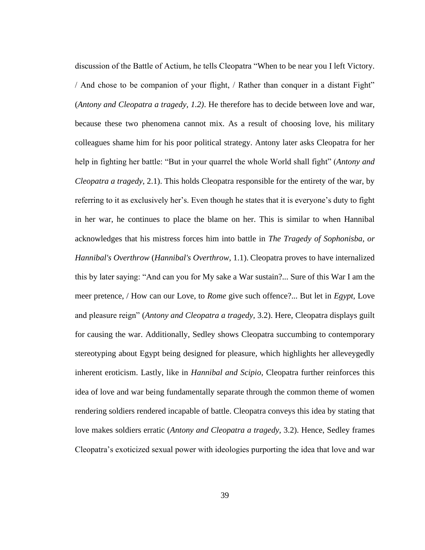discussion of the Battle of Actium, he tells Cleopatra "When to be near you I left Victory. / And chose to be companion of your flight, / Rather than conquer in a distant Fight" (*Antony and Cleopatra a tragedy, 1.2)*. He therefore has to decide between love and war, because these two phenomena cannot mix. As a result of choosing love, his military colleagues shame him for his poor political strategy. Antony later asks Cleopatra for her help in fighting her battle: "But in your quarrel the whole World shall fight" (*Antony and Cleopatra a tragedy*, 2.1). This holds Cleopatra responsible for the entirety of the war, by referring to it as exclusively her's. Even though he states that it is everyone's duty to fight in her war, he continues to place the blame on her. This is similar to when Hannibal acknowledges that his mistress forces him into battle in *The Tragedy of Sophonisba, or Hannibal's Overthrow* (*Hannibal's Overthrow,* 1.1). Cleopatra proves to have internalized this by later saying: "And can you for My sake a War sustain?... Sure of this War I am the meer pretence, / How can our Love, to *Rome* give such offence?... But let in *Egypt,* Love and pleasure reign" (*Antony and Cleopatra a tragedy,* 3.2). Here, Cleopatra displays guilt for causing the war. Additionally, Sedley shows Cleopatra succumbing to contemporary stereotyping about Egypt being designed for pleasure, which highlights her alleveygedly inherent eroticism. Lastly, like in *Hannibal and Scipio*, Cleopatra further reinforces this idea of love and war being fundamentally separate through the common theme of women rendering soldiers rendered incapable of battle. Cleopatra conveys this idea by stating that love makes soldiers erratic (*Antony and Cleopatra a tragedy,* 3.2). Hence, Sedley frames Cleopatra's exoticized sexual power with ideologies purporting the idea that love and war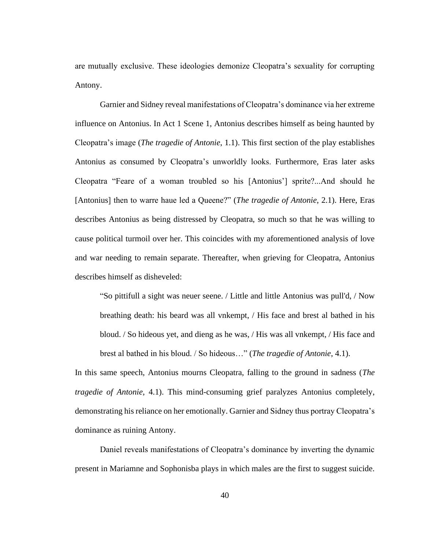are mutually exclusive. These ideologies demonize Cleopatra's sexuality for corrupting Antony.

Garnier and Sidney reveal manifestations of Cleopatra's dominance via her extreme influence on Antonius. In Act 1 Scene 1, Antonius describes himself as being haunted by Cleopatra's image (*The tragedie of Antonie*, 1.1). This first section of the play establishes Antonius as consumed by Cleopatra's unworldly looks. Furthermore, Eras later asks Cleopatra "Feare of a woman troubled so his [Antonius'] sprite?...And should he [Antonius] then to warre haue led a Queene?" (*The tragedie of Antonie*, 2.1). Here, Eras describes Antonius as being distressed by Cleopatra, so much so that he was willing to cause political turmoil over her. This coincides with my aforementioned analysis of love and war needing to remain separate. Thereafter, when grieving for Cleopatra, Antonius describes himself as disheveled:

"So pittifull a sight was neuer seene. / Little and little Antonius was pull'd, / Now breathing death: his beard was all vnkempt, / His face and brest al bathed in his bloud. / So hideous yet, and dieng as he was, / His was all vnkempt, / His face and brest al bathed in his bloud. / So hideous…" (*The tragedie of Antonie*, 4.1).

In this same speech, Antonius mourns Cleopatra, falling to the ground in sadness (*The tragedie of Antonie*, 4.1). This mind-consuming grief paralyzes Antonius completely, demonstrating his reliance on her emotionally. Garnier and Sidney thus portray Cleopatra's dominance as ruining Antony.

Daniel reveals manifestations of Cleopatra's dominance by inverting the dynamic present in Mariamne and Sophonisba plays in which males are the first to suggest suicide.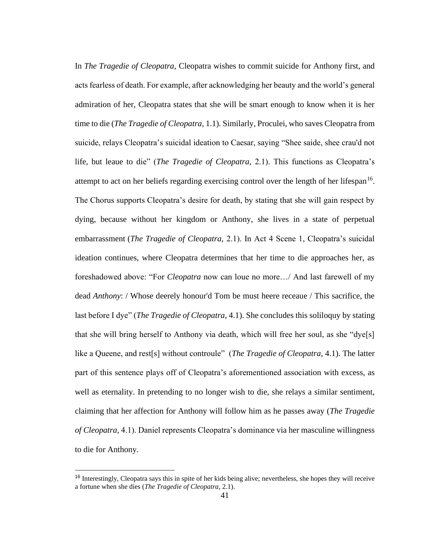In *The Tragedie of Cleopatra,* Cleopatra wishes to commit suicide for Anthony first, and acts fearless of death. For example, after acknowledging her beauty and the world's general admiration of her, Cleopatra states that she will be smart enough to know when it is her time to die (*The Tragedie of Cleopatra,* 1.1). Similarly, Proculei, who saves Cleopatra from suicide, relays Cleopatra's suicidal ideation to Caesar, saying "Shee saide, shee crau'd not life, but leaue to die" (*The Tragedie of Cleopatra,* 2.1). This functions as Cleopatra's attempt to act on her beliefs regarding exercising control over the length of her lifespan $16$ . The Chorus supports Cleopatra's desire for death, by stating that she will gain respect by dying, because without her kingdom or Anthony, she lives in a state of perpetual embarrassment (*The Tragedie of Cleopatra,* 2.1). In Act 4 Scene 1, Cleopatra's suicidal ideation continues, where Cleopatra determines that her time to die approaches her, as foreshadowed above: "For *Cleopatra* now can loue no more…/ And last farewell of my dead *Anthony*: / Whose deerely honour'd Tom be must heere receaue / This sacrifice, the last before I dye" (*The Tragedie of Cleopatra*, 4.1). She concludes this soliloquy by stating that she will bring herself to Anthony via death, which will free her soul, as she "dye[s] like a Queene, and rest[s] without controule" (*The Tragedie of Cleopatra*, 4.1). The latter part of this sentence plays off of Cleopatra's aforementioned association with excess, as well as eternality. In pretending to no longer wish to die, she relays a similar sentiment, claiming that her affection for Anthony will follow him as he passes away (*The Tragedie of Cleopatra*, 4.1). Daniel represents Cleopatra's dominance via her masculine willingness to die for Anthony.

<sup>&</sup>lt;sup>16</sup> Interestingly, Cleopatra says this in spite of her kids being alive; nevertheless, she hopes they will receive a fortune when she dies (*The Tragedie of Cleopatra,* 2.1).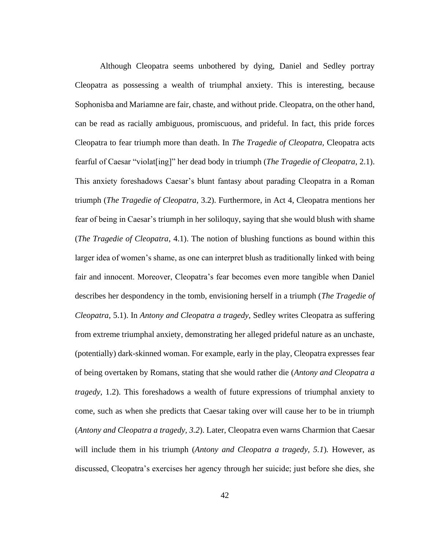Although Cleopatra seems unbothered by dying, Daniel and Sedley portray Cleopatra as possessing a wealth of triumphal anxiety. This is interesting, because Sophonisba and Mariamne are fair, chaste, and without pride. Cleopatra, on the other hand, can be read as racially ambiguous, promiscuous, and prideful. In fact, this pride forces Cleopatra to fear triumph more than death. In *The Tragedie of Cleopatra,* Cleopatra acts fearful of Caesar "violat[ing]" her dead body in triumph (*The Tragedie of Cleopatra*, 2.1). This anxiety foreshadows Caesar's blunt fantasy about parading Cleopatra in a Roman triumph (*The Tragedie of Cleopatra*, 3.2). Furthermore, in Act 4, Cleopatra mentions her fear of being in Caesar's triumph in her soliloquy, saying that she would blush with shame (*The Tragedie of Cleopatra*, 4.1). The notion of blushing functions as bound within this larger idea of women's shame, as one can interpret blush as traditionally linked with being fair and innocent. Moreover, Cleopatra's fear becomes even more tangible when Daniel describes her despondency in the tomb, envisioning herself in a triumph (*The Tragedie of Cleopatra*, 5.1). In *Antony and Cleopatra a tragedy,* Sedley writes Cleopatra as suffering from extreme triumphal anxiety, demonstrating her alleged prideful nature as an unchaste, (potentially) dark-skinned woman. For example, early in the play, Cleopatra expresses fear of being overtaken by Romans, stating that she would rather die (*Antony and Cleopatra a tragedy,* 1.2). This foreshadows a wealth of future expressions of triumphal anxiety to come, such as when she predicts that Caesar taking over will cause her to be in triumph (*Antony and Cleopatra a tragedy, 3.2*). Later, Cleopatra even warns Charmion that Caesar will include them in his triumph (*Antony and Cleopatra a tragedy, 5.1*)*.* However, as discussed, Cleopatra's exercises her agency through her suicide; just before she dies, she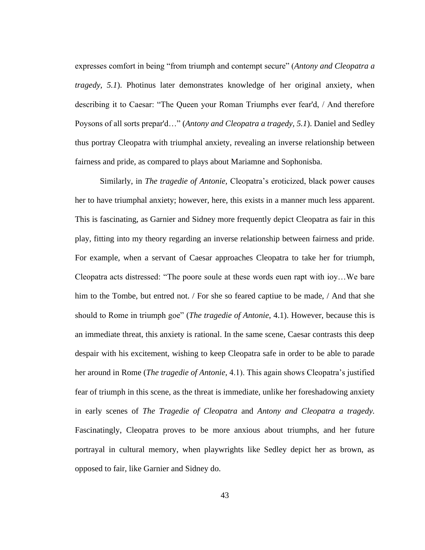expresses comfort in being "from triumph and contempt secure" (*Antony and Cleopatra a tragedy, 5.1*). Photinus later demonstrates knowledge of her original anxiety, when describing it to Caesar: "The Queen your Roman Triumphs ever fear'd, / And therefore Poysons of all sorts prepar'd…" (*Antony and Cleopatra a tragedy, 5.1*). Daniel and Sedley thus portray Cleopatra with triumphal anxiety, revealing an inverse relationship between fairness and pride, as compared to plays about Mariamne and Sophonisba.

Similarly, in *The tragedie of Antonie,* Cleopatra's eroticized, black power causes her to have triumphal anxiety; however, here, this exists in a manner much less apparent. This is fascinating, as Garnier and Sidney more frequently depict Cleopatra as fair in this play, fitting into my theory regarding an inverse relationship between fairness and pride. For example, when a servant of Caesar approaches Cleopatra to take her for triumph, Cleopatra acts distressed: "The poore soule at these words euen rapt with ioy…We bare him to the Tombe, but entred not. / For she so feared captiue to be made, / And that she should to Rome in triumph goe" (*The tragedie of Antonie*, 4.1). However, because this is an immediate threat, this anxiety is rational. In the same scene, Caesar contrasts this deep despair with his excitement, wishing to keep Cleopatra safe in order to be able to parade her around in Rome (*The tragedie of Antonie*, 4.1). This again shows Cleopatra's justified fear of triumph in this scene, as the threat is immediate, unlike her foreshadowing anxiety in early scenes of *The Tragedie of Cleopatra* and *Antony and Cleopatra a tragedy.*  Fascinatingly, Cleopatra proves to be more anxious about triumphs, and her future portrayal in cultural memory, when playwrights like Sedley depict her as brown, as opposed to fair, like Garnier and Sidney do.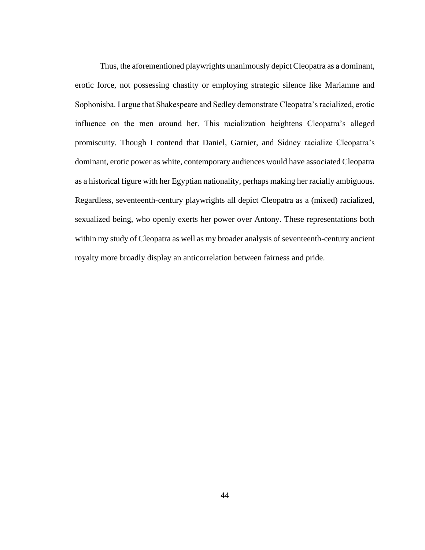Thus, the aforementioned playwrights unanimously depict Cleopatra as a dominant, erotic force, not possessing chastity or employing strategic silence like Mariamne and Sophonisba. I argue that Shakespeare and Sedley demonstrate Cleopatra's racialized, erotic influence on the men around her. This racialization heightens Cleopatra's alleged promiscuity. Though I contend that Daniel, Garnier, and Sidney racialize Cleopatra's dominant, erotic power as white, contemporary audiences would have associated Cleopatra as a historical figure with her Egyptian nationality, perhaps making her racially ambiguous. Regardless, seventeenth-century playwrights all depict Cleopatra as a (mixed) racialized, sexualized being, who openly exerts her power over Antony. These representations both within my study of Cleopatra as well as my broader analysis of seventeenth-century ancient royalty more broadly display an anticorrelation between fairness and pride.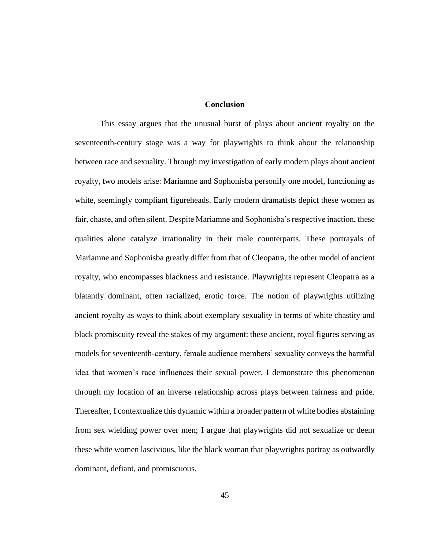#### **Conclusion**

This essay argues that the unusual burst of plays about ancient royalty on the seventeenth-century stage was a way for playwrights to think about the relationship between race and sexuality. Through my investigation of early modern plays about ancient royalty, two models arise: Mariamne and Sophonisba personify one model, functioning as white, seemingly compliant figureheads. Early modern dramatists depict these women as fair, chaste, and often silent. Despite Mariamne and Sophonisba's respective inaction, these qualities alone catalyze irrationality in their male counterparts. These portrayals of Mariamne and Sophonisba greatly differ from that of Cleopatra, the other model of ancient royalty, who encompasses blackness and resistance. Playwrights represent Cleopatra as a blatantly dominant, often racialized, erotic force. The notion of playwrights utilizing ancient royalty as ways to think about exemplary sexuality in terms of white chastity and black promiscuity reveal the stakes of my argument: these ancient, royal figures serving as models for seventeenth-century, female audience members' sexuality conveys the harmful idea that women's race influences their sexual power. I demonstrate this phenomenon through my location of an inverse relationship across plays between fairness and pride. Thereafter, I contextualize this dynamic within a broader pattern of white bodies abstaining from sex wielding power over men; I argue that playwrights did not sexualize or deem these white women lascivious, like the black woman that playwrights portray as outwardly dominant, defiant, and promiscuous.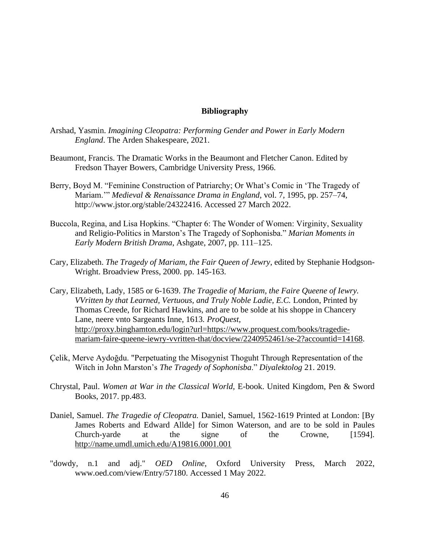#### **Bibliography**

- Arshad, Yasmin. *Imagining Cleopatra: Performing Gender and Power in Early Modern England*. The Arden Shakespeare, 2021.
- Beaumont, Francis. The Dramatic Works in the Beaumont and Fletcher Canon. Edited by Fredson Thayer Bowers, Cambridge University Press, 1966.
- Berry, Boyd M. "Feminine Construction of Patriarchy; Or What's Comic in 'The Tragedy of Mariam.'" *Medieval & Renaissance Drama in England*, vol. 7, 1995, pp. 257–74, http://www.jstor.org/stable/24322416. Accessed 27 March 2022.
- Buccola, Regina, and Lisa Hopkins. "Chapter 6: The Wonder of Women: Virginity, Sexuality and Religio-Politics in Marston's The Tragedy of Sophonisba." *Marian Moments in Early Modern British Drama*, Ashgate, 2007, pp. 111–125.
- Cary, Elizabeth. *The Tragedy of Mariam, the Fair Queen of Jewry*, edited by Stephanie Hodgson-Wright. Broadview Press, 2000. pp. 145-163.
- Cary, Elizabeth, Lady, 1585 or 6-1639. *The Tragedie of Mariam, the Faire Queene of Iewry. VVritten by that Learned, Vertuous, and Truly Noble Ladie, E.C.* London, Printed by Thomas Creede, for Richard Hawkins, and are to be solde at his shoppe in Chancery Lane, neere vnto Sargeants Inne, 1613*. ProQuest*, [http://proxy.binghamton.edu/login?url=https://www.proquest.com/books/tragedie](http://proxy.binghamton.edu/login?url=https://www.proquest.com/books/tragedie-mariam-faire-queene-iewry-vvritten-that/docview/2240952461/se-2?accountid=14168)[mariam-faire-queene-iewry-vvritten-that/docview/2240952461/se-2?accountid=14168.](http://proxy.binghamton.edu/login?url=https://www.proquest.com/books/tragedie-mariam-faire-queene-iewry-vvritten-that/docview/2240952461/se-2?accountid=14168)
- Çelik, Merve Aydoğdu. "Perpetuating the Misogynist Thoguht Through Representation of the Witch in John Marston's *The Tragedy of Sophonisba*." *Diyalektolog* 21. 2019.
- Chrystal, Paul. *Women at War in the Classical World,* E-book. United Kingdom, Pen & Sword Books, 2017. pp.483.
- Daniel, Samuel. *The Tragedie of Cleopatra.* Daniel, Samuel, 1562-1619 Printed at London: [By James Roberts and Edward Allde] for Simon Waterson, and are to be sold in Paules Church-yarde at the signe of the Crowne, [1594]. <http://name.umdl.umich.edu/A19816.0001.001>
- "dowdy, n.1 and adj." *OED Online*, Oxford University Press, March 2022, www.oed.com/view/Entry/57180. Accessed 1 May 2022.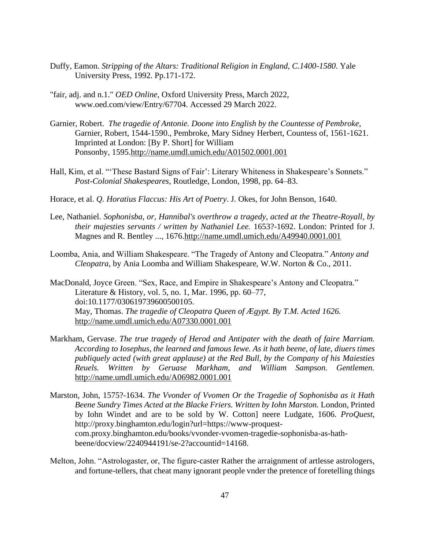- Duffy, Eamon. *Stripping of the Altars: Traditional Religion in England, C.1400-1580*. Yale University Press, 1992. Pp.171-172.
- "fair, adj. and n.1." *OED Online*, Oxford University Press, March 2022, www.oed.com/view/Entry/67704. Accessed 29 March 2022.
- Garnier, Robert. *The tragedie of Antonie. Doone into English by the Countesse of Pembroke*, Garnier, Robert, 1544-1590., Pembroke, Mary Sidney Herbert, Countess of, 1561-1621. Imprinted at London: [By P. Short] for William Ponsonby, 1595[.http://name.umdl.umich.edu/A01502.0001.001](http://name.umdl.umich.edu/A01502.0001.001)
- Hall, Kim, et al. "'These Bastard Signs of Fair': Literary Whiteness in Shakespeare's Sonnets." *Post-Colonial Shakespeares*, Routledge, London, 1998, pp. 64–83.
- Horace, et al. *Q. Horatius Flaccus: His Art of Poetry*. J. Okes, for John Benson, 1640.
- Lee, Nathaniel. *Sophonisba, or, Hannibal's overthrow a tragedy, acted at the Theatre-Royall, by their majesties servants / written by Nathaniel Lee.* 1653?-1692. London: Printed for J. Magnes and R. Bentley ..., 1676[.http://name.umdl.umich.edu/A49940.0001.001](http://name.umdl.umich.edu/A49940.0001.001)
- Loomba, Ania, and William Shakespeare. "The Tragedy of Antony and Cleopatra." *Antony and Cleopatra*, by Ania Loomba and William Shakespeare, W.W. Norton & Co., 2011.
- MacDonald, Joyce Green. "Sex, Race, and Empire in Shakespeare's Antony and Cleopatra." Literature & History, vol. 5, no. 1, Mar. 1996, pp. 60–77, doi:10.1177/030619739600500105. May, Thomas. *The tragedie of Cleopatra Queen of Ægypt. By T.M. Acted 1626.*  <http://name.umdl.umich.edu/A07330.0001.001>
- Markham, Gervase. *The true tragedy of Herod and Antipater with the death of faire Marriam. According to Iosephus, the learned and famous Iewe. As it hath beene, of late, diuers times publiquely acted (with great applause) at the Red Bull, by the Company of his Maiesties Reuels. Written by Geruase Markham, and William Sampson. Gentlemen.*  <http://name.umdl.umich.edu/A06982.0001.001>
- Marston, John, 1575?-1634. *The Vvonder of Vvomen Or the Tragedie of Sophonisba as it Hath Beene Sundry Times Acted at the Blacke Friers. Written by Iohn Marston.* London, Printed by Iohn Windet and are to be sold by W. Cotton] neere Ludgate, 1606*. ProQuest*, http://proxy.binghamton.edu/login?url=https://www-proquestcom.proxy.binghamton.edu/books/vvonder-vvomen-tragedie-sophonisba-as-hathbeene/docview/2240944191/se-2?accountid=14168.
- Melton, John. "Astrologaster, or, The figure-caster Rather the arraignment of artlesse astrologers, and fortune-tellers, that cheat many ignorant people vnder the pretence of foretelling things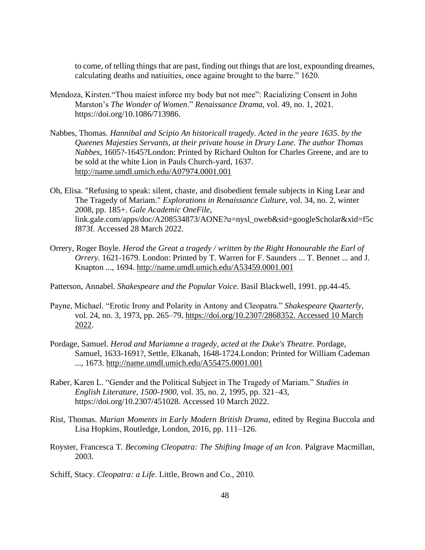to come, of telling things that are past, finding out things that are lost, expounding dreames, calculating deaths and natiuities, once againe brought to the barre." 1620.

- Mendoza, Kirsten."Thou maiest inforce my body but not mee": Racializing Consent in John Marston's *The Wonder of Women*." *[Renaissance Drama](https://www.journals.uchicago.edu/toc/rd/current)*, vol. 49, no. 1, 2021. [https://doi.org/10.1086/713986.](https://doi.org/10.1086/713986)
- Nabbes, Thomas. *Hannibal and Scipio An historicall tragedy. Acted in the yeare 1635. by the Queenes Majesties Servants, at their private house in Drury Lane. The author Thomas Nabbes,* 1605?-1645?London: Printed by Richard Oulton for Charles Greene, and are to be sold at the white Lion in Pauls Church-yard, 1637. <http://name.umdl.umich.edu/A07974.0001.001>
- Oh, Elisa. "Refusing to speak: silent, chaste, and disobedient female subjects in King Lear and The Tragedy of Mariam." *Explorations in Renaissance Culture*, vol. 34, no. 2, winter 2008, pp. 185+. *Gale Academic OneFile*, link.gale.com/apps/doc/A208534873/AONE?u=nysl\_oweb&sid=googleScholar&xid=f5c f873f. Accessed 28 March 2022.
- Orrery, Roger Boyle. *Herod the Great a tragedy / written by the Right Honourable the Earl of Orrery.* 1621-1679. London: Printed by T. Warren for F. Saunders ... T. Bennet ... and J. Knapton ..., 1694.<http://name.umdl.umich.edu/A53459.0001.001>
- Patterson, Annabel. *Shakespeare and the Popular Voice*. Basil Blackwell, 1991. pp.44-45.
- Payne, Michael. "Erotic Irony and Polarity in Antony and Cleopatra." *Shakespeare Quarterly*, vol. 24, no. 3, 1973, pp. 265–79, [https://doi.org/10.2307/2868352. Accessed 10 March](https://doi.org/10.2307/2868352.%20Accessed%2010%20March%202022)  [2022.](https://doi.org/10.2307/2868352.%20Accessed%2010%20March%202022)
- Pordage, Samuel. *Herod and Mariamne a tragedy, acted at the Duke's Theatre.* Pordage, Samuel, 1633-1691?, Settle, Elkanah, 1648-1724.London: Printed for William Cademan ..., 1673.<http://name.umdl.umich.edu/A55475.0001.001>
- Raber, Karen L. "Gender and the Political Subject in The Tragedy of Mariam." *Studies in English Literature, 1500-1900*, vol. 35, no. 2, 1995, pp. 321–43, https://doi.org/10.2307/451028. Accessed 10 March 2022.
- Rist, Thomas. *Marian Moments in Early Modern British Drama*, edited by Regina Buccola and Lisa Hopkins, Routledge, London, 2016, pp. 111–126.
- Royster, Francesca T. *Becoming Cleopatra: The Shifting Image of an Icon*. Palgrave Macmillan, 2003.
- Schiff, Stacy. *Cleopatra: a Life*. Little, Brown and Co., 2010.